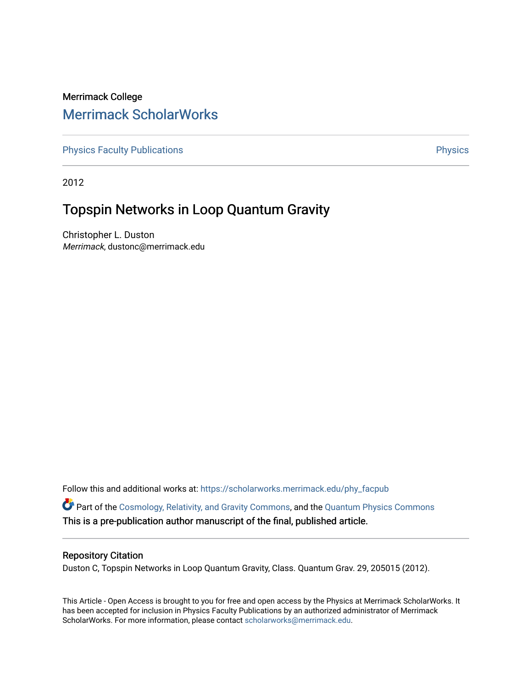# Merrimack College [Merrimack ScholarWorks](https://scholarworks.merrimack.edu/)

[Physics Faculty Publications](https://scholarworks.merrimack.edu/phy_facpub) **Physics** [Physics](https://scholarworks.merrimack.edu/phy) **Physics** 

2012

# Topspin Networks in Loop Quantum Gravity

Christopher L. Duston Merrimack, dustonc@merrimack.edu

Follow this and additional works at: [https://scholarworks.merrimack.edu/phy\\_facpub](https://scholarworks.merrimack.edu/phy_facpub?utm_source=scholarworks.merrimack.edu%2Fphy_facpub%2F2&utm_medium=PDF&utm_campaign=PDFCoverPages) 

Part of the [Cosmology, Relativity, and Gravity Commons,](http://network.bepress.com/hgg/discipline/129?utm_source=scholarworks.merrimack.edu%2Fphy_facpub%2F2&utm_medium=PDF&utm_campaign=PDFCoverPages) and the [Quantum Physics Commons](http://network.bepress.com/hgg/discipline/206?utm_source=scholarworks.merrimack.edu%2Fphy_facpub%2F2&utm_medium=PDF&utm_campaign=PDFCoverPages) This is a pre-publication author manuscript of the final, published article.

# Repository Citation

Duston C, Topspin Networks in Loop Quantum Gravity, Class. Quantum Grav. 29, 205015 (2012).

This Article - Open Access is brought to you for free and open access by the Physics at Merrimack ScholarWorks. It has been accepted for inclusion in Physics Faculty Publications by an authorized administrator of Merrimack ScholarWorks. For more information, please contact [scholarworks@merrimack.edu.](mailto:scholarworks@merrimack.edu)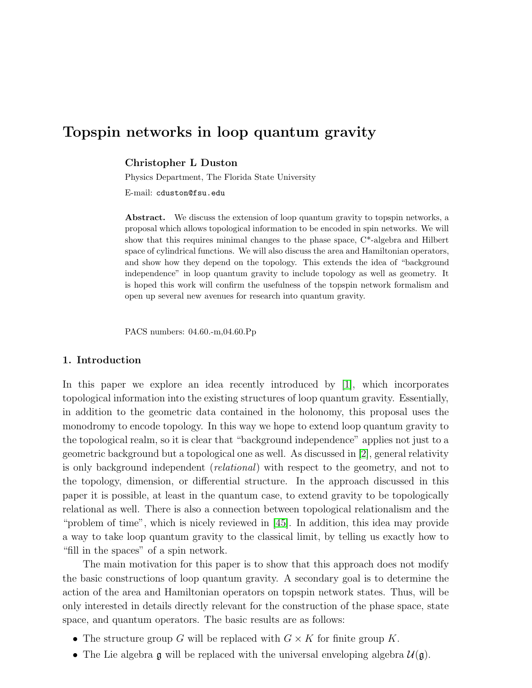# Topspin networks in loop quantum gravity

Christopher L Duston

Physics Department, The Florida State University

E-mail: cduston@fsu.edu

Abstract. We discuss the extension of loop quantum gravity to topspin networks, a proposal which allows topological information to be encoded in spin networks. We will show that this requires minimal changes to the phase space, C\*-algebra and Hilbert space of cylindrical functions. We will also discuss the area and Hamiltonian operators, and show how they depend on the topology. This extends the idea of "background independence" in loop quantum gravity to include topology as well as geometry. It is hoped this work will confirm the usefulness of the topspin network formalism and open up several new avenues for research into quantum gravity.

PACS numbers: 04.60.-m,04.60.Pp

#### 1. Introduction

In this paper we explore an idea recently introduced by [\[1\]](#page-32-0), which incorporates topological information into the existing structures of loop quantum gravity. Essentially, in addition to the geometric data contained in the holonomy, this proposal uses the monodromy to encode topology. In this way we hope to extend loop quantum gravity to the topological realm, so it is clear that "background independence" applies not just to a geometric background but a topological one as well. As discussed in [\[2\]](#page-32-1), general relativity is only background independent (relational) with respect to the geometry, and not to the topology, dimension, or differential structure. In the approach discussed in this paper it is possible, at least in the quantum case, to extend gravity to be topologically relational as well. There is also a connection between topological relationalism and the "problem of time", which is nicely reviewed in [\[45\]](#page-33-0). In addition, this idea may provide a way to take loop quantum gravity to the classical limit, by telling us exactly how to "fill in the spaces" of a spin network.

The main motivation for this paper is to show that this approach does not modify the basic constructions of loop quantum gravity. A secondary goal is to determine the action of the area and Hamiltonian operators on topspin network states. Thus, will be only interested in details directly relevant for the construction of the phase space, state space, and quantum operators. The basic results are as follows:

- The structure group G will be replaced with  $G \times K$  for finite group K.
- The Lie algebra g will be replaced with the universal enveloping algebra  $\mathcal{U}(\mathfrak{g})$ .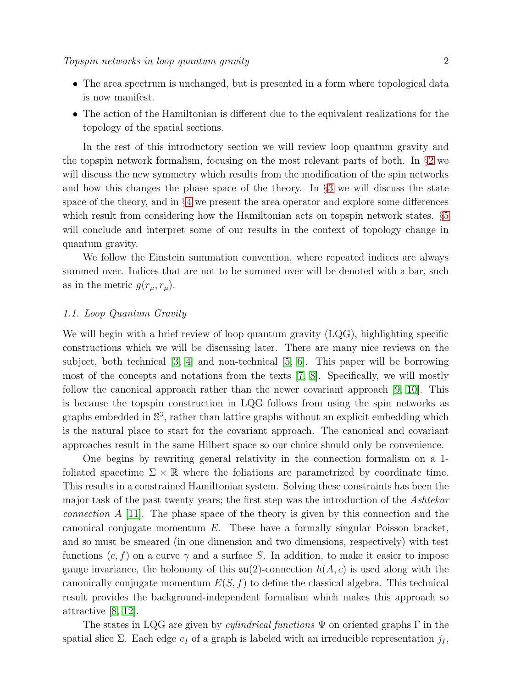- The area spectrum is unchanged, but is presented in a form where topological data is now manifest.
- The action of the Hamiltonian is different due to the equivalent realizations for the topology of the spatial sections.

In the rest of this introductory section we will review loop quantum gravity and the topspin network formalism, focusing on the most relevant parts of both. In §[2](#page-7-0) we will discuss the new symmetry which results from the modification of the spin networks and how this changes the phase space of the theory. In §[3](#page-14-0) we will discuss the state space of the theory, and in §[4](#page-19-0) we present the area operator and explore some differences which result from considering how the Hamiltonian acts on topspin network states.  $\S5$  $\S5$ will conclude and interpret some of our results in the context of topology change in quantum gravity.

We follow the Einstein summation convention, where repeated indices are always summed over. Indices that are not to be summed over will be denoted with a bar, such as in the metric  $g(r_{\bar{\mu}}, r_{\bar{\mu}})$ .

#### 1.1. Loop Quantum Gravity

We will begin with a brief review of loop quantum gravity (LQG), highlighting specific constructions which we will be discussing later. There are many nice reviews on the subject, both technical [\[3,](#page-32-2) [4\]](#page-32-3) and non-technical [\[5,](#page-32-4) [6\]](#page-32-5). This paper will be borrowing most of the concepts and notations from the texts [\[7,](#page-33-1) [8\]](#page-33-2). Specifically, we will mostly follow the canonical approach rather than the newer covariant approach [\[9,](#page-33-3) [10\]](#page-33-4). This is because the topspin construction in LQG follows from using the spin networks as graphs embedded in  $\mathbb{S}^3$ , rather than lattice graphs without an explicit embedding which is the natural place to start for the covariant approach. The canonical and covariant approaches result in the same Hilbert space so our choice should only be convenience.

One begins by rewriting general relativity in the connection formalism on a 1 foliated spacetime  $\Sigma \times \mathbb{R}$  where the foliations are parametrized by coordinate time. This results in a constrained Hamiltonian system. Solving these constraints has been the major task of the past twenty years; the first step was the introduction of the Ashtekar *connection*  $A \vert 11$ . The phase space of the theory is given by this connection and the canonical conjugate momentum  $E$ . These have a formally singular Poisson bracket, and so must be smeared (in one dimension and two dimensions, respectively) with test functions  $(c, f)$  on a curve  $\gamma$  and a surface S. In addition, to make it easier to impose gauge invariance, the holonomy of this  $\mathfrak{su}(2)$ -connection  $h(A, c)$  is used along with the canonically conjugate momentum  $E(S, f)$  to define the classical algebra. This technical result provides the background-independent formalism which makes this approach so attractive [\[8,](#page-33-2) [12\]](#page-33-6).

The states in LQG are given by *cylindrical functions*  $\Psi$  on oriented graphs  $\Gamma$  in the spatial slice Σ. Each edge  $e_I$  of a graph is labeled with an irreducible representation  $j_I$ ,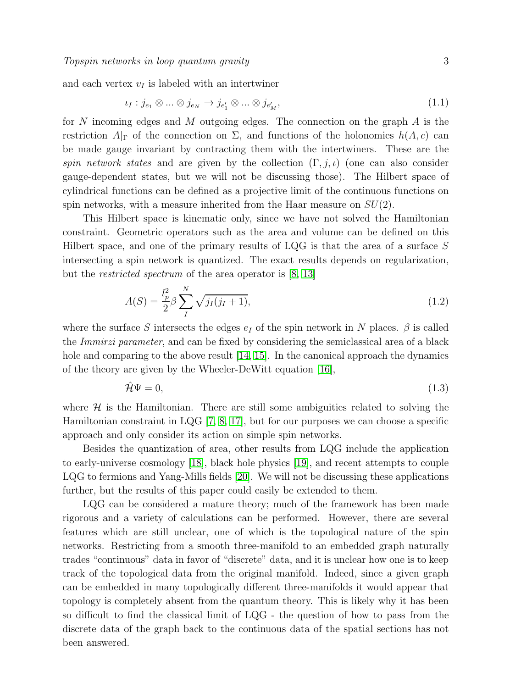and each vertex  $v_I$  is labeled with an intertwiner

$$
\iota_I : j_{e_1} \otimes \ldots \otimes j_{e_N} \to j_{e'_1} \otimes \ldots \otimes j_{e'_M},\tag{1.1}
$$

for N incoming edges and M outgoing edges. The connection on the graph A is the restriction  $A|_{\Gamma}$  of the connection on  $\Sigma$ , and functions of the holonomies  $h(A, c)$  can be made gauge invariant by contracting them with the intertwiners. These are the spin network states and are given by the collection  $(\Gamma, j, \iota)$  (one can also consider gauge-dependent states, but we will not be discussing those). The Hilbert space of cylindrical functions can be defined as a projective limit of the continuous functions on spin networks, with a measure inherited from the Haar measure on  $SU(2)$ .

This Hilbert space is kinematic only, since we have not solved the Hamiltonian constraint. Geometric operators such as the area and volume can be defined on this Hilbert space, and one of the primary results of LQG is that the area of a surface S intersecting a spin network is quantized. The exact results depends on regularization, but the *restricted spectrum* of the area operator is [\[8,](#page-33-2) [13\]](#page-33-7)

$$
A(S) = \frac{l_p^2}{2} \beta \sum_{I}^{N} \sqrt{j_I(j_I + 1)},
$$
\n(1.2)

where the surface S intersects the edges  $e_I$  of the spin network in N places.  $\beta$  is called the Immirzi parameter, and can be fixed by considering the semiclassical area of a black hole and comparing to the above result [\[14,](#page-33-8) [15\]](#page-33-9). In the canonical approach the dynamics of the theory are given by the Wheeler-DeWitt equation [\[16\]](#page-33-10),

<span id="page-3-0"></span>
$$
\hat{\mathcal{H}}\Psi = 0,\tag{1.3}
$$

where  $\mathcal H$  is the Hamiltonian. There are still some ambiguities related to solving the Hamiltonian constraint in LQG  $[7, 8, 17]$  $[7, 8, 17]$  $[7, 8, 17]$ , but for our purposes we can choose a specific approach and only consider its action on simple spin networks.

Besides the quantization of area, other results from LQG include the application to early-universe cosmology [\[18\]](#page-33-12), black hole physics [\[19\]](#page-33-13), and recent attempts to couple LQG to fermions and Yang-Mills fields [\[20\]](#page-33-14). We will not be discussing these applications further, but the results of this paper could easily be extended to them.

LQG can be considered a mature theory; much of the framework has been made rigorous and a variety of calculations can be performed. However, there are several features which are still unclear, one of which is the topological nature of the spin networks. Restricting from a smooth three-manifold to an embedded graph naturally trades "continuous" data in favor of "discrete" data, and it is unclear how one is to keep track of the topological data from the original manifold. Indeed, since a given graph can be embedded in many topologically different three-manifolds it would appear that topology is completely absent from the quantum theory. This is likely why it has been so difficult to find the classical limit of LQG - the question of how to pass from the discrete data of the graph back to the continuous data of the spatial sections has not been answered.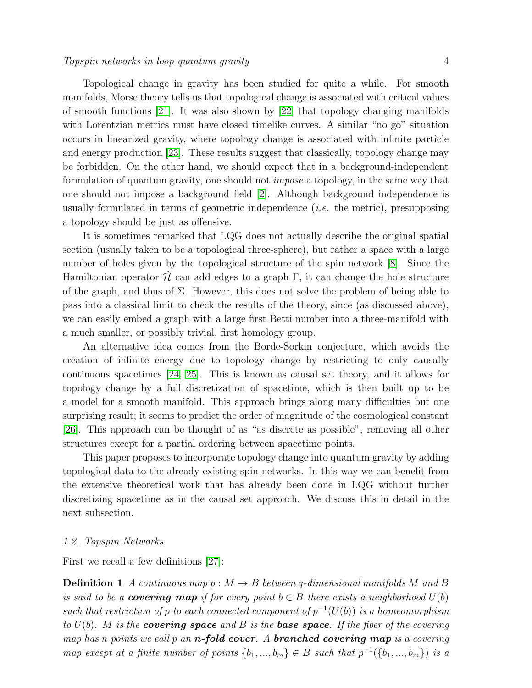Topological change in gravity has been studied for quite a while. For smooth manifolds, Morse theory tells us that topological change is associated with critical values of smooth functions [\[21\]](#page-33-15). It was also shown by [\[22\]](#page-33-16) that topology changing manifolds with Lorentzian metrics must have closed timelike curves. A similar "no go" situation occurs in linearized gravity, where topology change is associated with infinite particle and energy production [\[23\]](#page-33-17). These results suggest that classically, topology change may be forbidden. On the other hand, we should expect that in a background-independent formulation of quantum gravity, one should not impose a topology, in the same way that one should not impose a background field [\[2\]](#page-32-1). Although background independence is usually formulated in terms of geometric independence *(i.e.* the metric), presupposing a topology should be just as offensive.

It is sometimes remarked that LQG does not actually describe the original spatial section (usually taken to be a topological three-sphere), but rather a space with a large number of holes given by the topological structure of the spin network [\[8\]](#page-33-2). Since the Hamiltonian operator H can add edges to a graph  $\Gamma$ , it can change the hole structure of the graph, and thus of  $\Sigma$ . However, this does not solve the problem of being able to pass into a classical limit to check the results of the theory, since (as discussed above), we can easily embed a graph with a large first Betti number into a three-manifold with a much smaller, or possibly trivial, first homology group.

An alternative idea comes from the Borde-Sorkin conjecture, which avoids the creation of infinite energy due to topology change by restricting to only causally continuous spacetimes [\[24,](#page-33-18) [25\]](#page-33-19). This is known as causal set theory, and it allows for topology change by a full discretization of spacetime, which is then built up to be a model for a smooth manifold. This approach brings along many difficulties but one surprising result; it seems to predict the order of magnitude of the cosmological constant [\[26\]](#page-33-20). This approach can be thought of as "as discrete as possible", removing all other structures except for a partial ordering between spacetime points.

This paper proposes to incorporate topology change into quantum gravity by adding topological data to the already existing spin networks. In this way we can benefit from the extensive theoretical work that has already been done in LQG without further discretizing spacetime as in the causal set approach. We discuss this in detail in the next subsection.

#### 1.2. Topspin Networks

First we recall a few definitions [\[27\]](#page-33-21):

**Definition 1** A continuous map  $p : M \to B$  between q-dimensional manifolds M and B is said to be a **covering map** if for every point  $b \in B$  there exists a neighborhood  $U(b)$ such that restriction of p to each connected component of  $p^{-1}(U(b))$  is a homeomorphism to  $U(b)$ . M is the **covering space** and B is the **base space**. If the fiber of the covering map has n points we call p an n-fold cover. A branched covering map is a covering map except at a finite number of points  $\{b_1, ..., b_m\} \in B$  such that  $p^{-1}(\{b_1, ..., b_m\})$  is a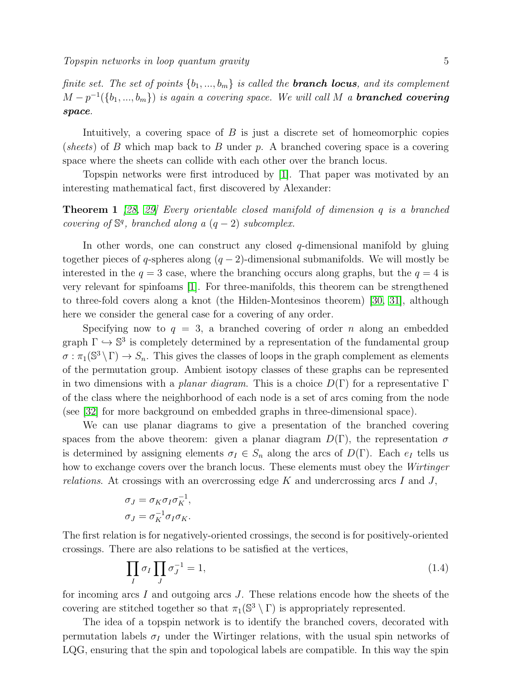finite set. The set of points  $\{b_1, ..., b_m\}$  is called the **branch locus**, and its complement  $M-p^{-1}(\lbrace b_1,...,b_m \rbrace)$  is again a covering space. We will call M a **branched covering** space.

Intuitively, a covering space of  $B$  is just a discrete set of homeomorphic copies (sheets) of B which map back to B under p. A branched covering space is a covering space where the sheets can collide with each other over the branch locus.

Topspin networks were first introduced by [\[1\]](#page-32-0). That paper was motivated by an interesting mathematical fact, first discovered by Alexander:

# Theorem 1 [\[28,](#page-33-22) [29\]](#page-33-23) Every orientable closed manifold of dimension q is a branched covering of  $\mathbb{S}^q$ , branched along a  $(q-2)$  subcomplex.

In other words, one can construct any closed  $q$ -dimensional manifold by gluing together pieces of q-spheres along  $(q-2)$ -dimensional submanifolds. We will mostly be interested in the  $q = 3$  case, where the branching occurs along graphs, but the  $q = 4$  is very relevant for spinfoams [\[1\]](#page-32-0). For three-manifolds, this theorem can be strengthened to three-fold covers along a knot (the Hilden-Montesinos theorem) [\[30,](#page-33-24) [31\]](#page-33-25), although here we consider the general case for a covering of any order.

Specifying now to  $q = 3$ , a branched covering of order n along an embedded graph  $\Gamma \hookrightarrow \mathbb{S}^3$  is completely determined by a representation of the fundamental group  $\sigma : \pi_1(\mathbb{S}^3 \setminus \Gamma) \to S_n$ . This gives the classes of loops in the graph complement as elements of the permutation group. Ambient isotopy classes of these graphs can be represented in two dimensions with a planar diagram. This is a choice  $D(\Gamma)$  for a representative  $\Gamma$ of the class where the neighborhood of each node is a set of arcs coming from the node (see [\[32\]](#page-33-26) for more background on embedded graphs in three-dimensional space).

We can use planar diagrams to give a presentation of the branched covering spaces from the above theorem: given a planar diagram  $D(\Gamma)$ , the representation  $\sigma$ is determined by assigning elements  $\sigma_I \in S_n$  along the arcs of  $D(\Gamma)$ . Each  $e_I$  tells us how to exchange covers over the branch locus. These elements must obey the *Wirtinger* relations. At crossings with an overcrossing edge K and undercrossing arcs I and J,

$$
\sigma_J = \sigma_K \sigma_I \sigma_K^{-1},
$$
  

$$
\sigma_J = \sigma_K^{-1} \sigma_I \sigma_K.
$$

The first relation is for negatively-oriented crossings, the second is for positively-oriented crossings. There are also relations to be satisfied at the vertices,

$$
\prod_{I} \sigma_{I} \prod_{J} \sigma_{J}^{-1} = 1, \qquad (1.4)
$$

for incoming arcs  $I$  and outgoing arcs  $J$ . These relations encode how the sheets of the covering are stitched together so that  $\pi_1(\mathbb{S}^3 \setminus \Gamma)$  is appropriately represented.

The idea of a topspin network is to identify the branched covers, decorated with permutation labels  $\sigma_I$  under the Wirtinger relations, with the usual spin networks of LQG, ensuring that the spin and topological labels are compatible. In this way the spin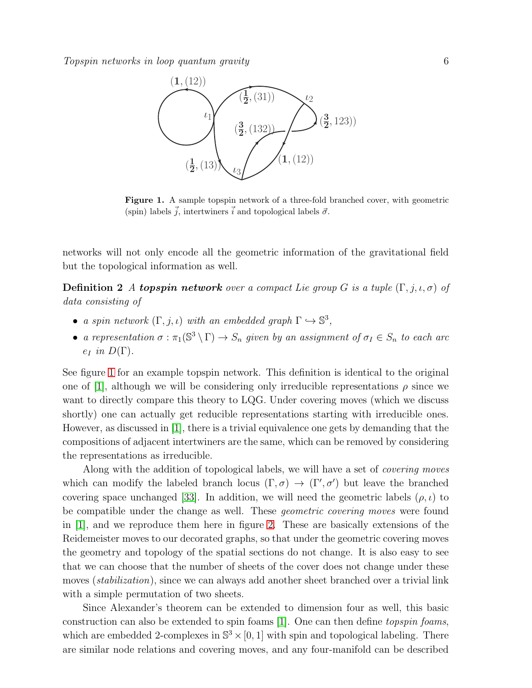

<span id="page-6-0"></span>Figure 1. A sample topspin network of a three-fold branched cover, with geometric (spin) labels  $\vec{j}$ , intertwiners  $\vec{i}$  and topological labels  $\vec{\sigma}$ .

networks will not only encode all the geometric information of the gravitational field but the topological information as well.

**Definition 2** A topspin network over a compact Lie group G is a tuple  $(\Gamma, j, \iota, \sigma)$  of data consisting of

- a spin network  $(\Gamma, j, \iota)$  with an embedded graph  $\Gamma \hookrightarrow \mathbb{S}^3$ ,
- a representation  $\sigma : \pi_1(\mathbb{S}^3 \setminus \Gamma) \to S_n$  given by an assignment of  $\sigma_I \in S_n$  to each arc  $e_I$  in  $D(\Gamma)$ .

See figure [1](#page-6-0) for an example topspin network. This definition is identical to the original one of [\[1\]](#page-32-0), although we will be considering only irreducible representations  $\rho$  since we want to directly compare this theory to LQG. Under covering moves (which we discuss shortly) one can actually get reducible representations starting with irreducible ones. However, as discussed in [\[1\]](#page-32-0), there is a trivial equivalence one gets by demanding that the compositions of adjacent intertwiners are the same, which can be removed by considering the representations as irreducible.

Along with the addition of topological labels, we will have a set of *covering moves* which can modify the labeled branch locus  $(\Gamma, \sigma) \to (\Gamma', \sigma')$  but leave the branched covering space unchanged [\[33\]](#page-33-27). In addition, we will need the geometric labels  $(\rho, \iota)$  to be compatible under the change as well. These geometric covering moves were found in [\[1\]](#page-32-0), and we reproduce them here in figure [2.](#page-7-1) These are basically extensions of the Reidemeister moves to our decorated graphs, so that under the geometric covering moves the geometry and topology of the spatial sections do not change. It is also easy to see that we can choose that the number of sheets of the cover does not change under these moves (*stabilization*), since we can always add another sheet branched over a trivial link with a simple permutation of two sheets.

Since Alexander's theorem can be extended to dimension four as well, this basic construction can also be extended to spin foams [\[1\]](#page-32-0). One can then define topspin foams, which are embedded 2-complexes in  $\mathbb{S}^3 \times [0, 1]$  with spin and topological labeling. There are similar node relations and covering moves, and any four-manifold can be described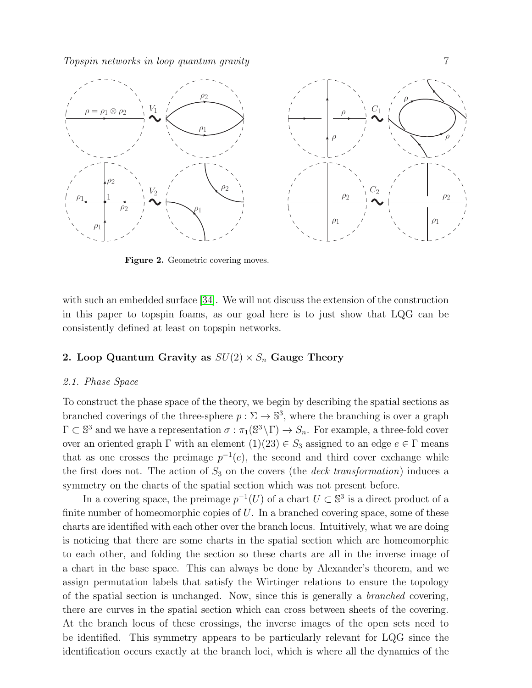Topspin networks in loop quantum gravity 7



<span id="page-7-1"></span>Figure 2. Geometric covering moves.

with such an embedded surface [\[34\]](#page-33-28). We will not discuss the extension of the construction in this paper to topspin foams, as our goal here is to just show that LQG can be consistently defined at least on topspin networks.

## <span id="page-7-0"></span>2. Loop Quantum Gravity as  $SU(2) \times S_n$  Gauge Theory

#### 2.1. Phase Space

To construct the phase space of the theory, we begin by describing the spatial sections as branched coverings of the three-sphere  $p : \Sigma \to \mathbb{S}^3$ , where the branching is over a graph  $\Gamma \subset \mathbb{S}^3$  and we have a representation  $\sigma : \pi_1(\mathbb{S}^3 \setminus \Gamma) \to S_n$ . For example, a three-fold cover over an oriented graph  $\Gamma$  with an element  $(1)(23) \in S_3$  assigned to an edge  $e \in \Gamma$  means that as one crosses the preimage  $p^{-1}(e)$ , the second and third cover exchange while the first does not. The action of  $S_3$  on the covers (the *deck transformation*) induces a symmetry on the charts of the spatial section which was not present before.

In a covering space, the preimage  $p^{-1}(U)$  of a chart  $U \subset \mathbb{S}^3$  is a direct product of a finite number of homeomorphic copies of  $U$ . In a branched covering space, some of these charts are identified with each other over the branch locus. Intuitively, what we are doing is noticing that there are some charts in the spatial section which are homeomorphic to each other, and folding the section so these charts are all in the inverse image of a chart in the base space. This can always be done by Alexander's theorem, and we assign permutation labels that satisfy the Wirtinger relations to ensure the topology of the spatial section is unchanged. Now, since this is generally a branched covering, there are curves in the spatial section which can cross between sheets of the covering. At the branch locus of these crossings, the inverse images of the open sets need to be identified. This symmetry appears to be particularly relevant for LQG since the identification occurs exactly at the branch loci, which is where all the dynamics of the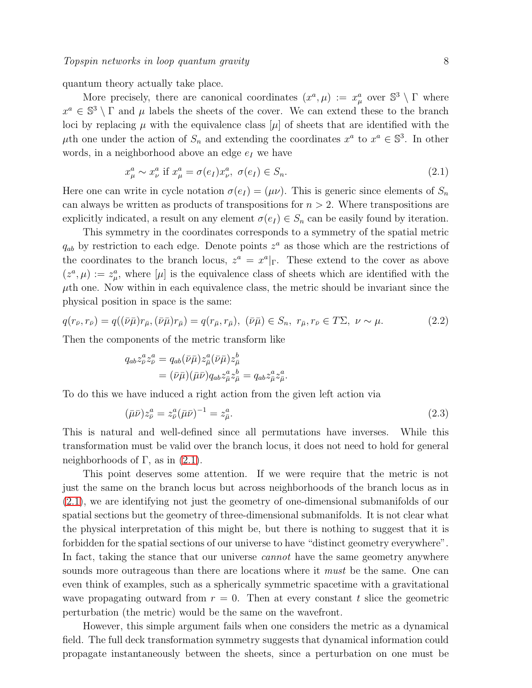quantum theory actually take place.

More precisely, there are canonical coordinates  $(x^a, \mu) := x^a_\mu$  over  $\mathbb{S}^3 \setminus \Gamma$  where  $x^a \in \mathbb{S}^3 \setminus \Gamma$  and  $\mu$  labels the sheets of the cover. We can extend these to the branch loci by replacing  $\mu$  with the equivalence class  $[\mu]$  of sheets that are identified with the  $\mu$ th one under the action of  $S_n$  and extending the coordinates  $x^a$  to  $x^a \in \mathbb{S}^3$ . In other words, in a neighborhood above an edge  $e_I$  we have

<span id="page-8-0"></span>
$$
x_{\mu}^{a} \sim x_{\nu}^{a} \text{ if } x_{\mu}^{a} = \sigma(e_{I})x_{\nu}^{a}, \ \sigma(e_{I}) \in S_{n}.\tag{2.1}
$$

Here one can write in cycle notation  $\sigma(e_I) = (\mu \nu)$ . This is generic since elements of  $S_n$ can always be written as products of transpositions for  $n > 2$ . Where transpositions are explicitly indicated, a result on any element  $\sigma(e_I) \in S_n$  can be easily found by iteration.

This symmetry in the coordinates corresponds to a symmetry of the spatial metric  $q_{ab}$  by restriction to each edge. Denote points  $z^a$  as those which are the restrictions of the coordinates to the branch locus,  $z^a = x^a |_{\Gamma}$ . These extend to the cover as above  $(z^a, \mu) := z^a_\mu$ , where  $[\mu]$  is the equivalence class of sheets which are identified with the  $\mu$ th one. Now within in each equivalence class, the metric should be invariant since the physical position in space is the same:

$$
q(r_{\bar{\nu}}, r_{\bar{\nu}}) = q((\bar{\nu}\bar{\mu})r_{\bar{\mu}}, (\bar{\nu}\bar{\mu})r_{\bar{\mu}}) = q(r_{\bar{\mu}}, r_{\bar{\mu}}), (\bar{\nu}\bar{\mu}) \in S_n, r_{\bar{\mu}}, r_{\bar{\nu}} \in T\Sigma, \nu \sim \mu.
$$
 (2.2)

Then the components of the metric transform like

<span id="page-8-1"></span>
$$
q_{ab}z_{\bar{\nu}}^a z_{\bar{\nu}}^a = q_{ab}(\bar{\nu}\bar{\mu})z_{\bar{\mu}}^a(\bar{\nu}\bar{\mu})z_{\bar{\mu}}^b
$$
  
=  $(\bar{\nu}\bar{\mu})(\bar{\mu}\bar{\nu})q_{ab}z_{\bar{\mu}}^a z_{\bar{\mu}}^b = q_{ab}z_{\bar{\mu}}^a z_{\bar{\mu}}^a$ 

To do this we have induced a right action from the given left action via

$$
(\bar{\mu}\bar{\nu})z_{\bar{\nu}}^a = z_{\bar{\nu}}^a(\bar{\mu}\bar{\nu})^{-1} = z_{\bar{\mu}}^a.
$$
\n(2.3)

.

This is natural and well-defined since all permutations have inverses. While this transformation must be valid over the branch locus, it does not need to hold for general neighborhoods of  $\Gamma$ , as in  $(2.1)$ .

This point deserves some attention. If we were require that the metric is not just the same on the branch locus but across neighborhoods of the branch locus as in [\(2.1\)](#page-8-0), we are identifying not just the geometry of one-dimensional submanifolds of our spatial sections but the geometry of three-dimensional submanifolds. It is not clear what the physical interpretation of this might be, but there is nothing to suggest that it is forbidden for the spatial sections of our universe to have "distinct geometry everywhere". In fact, taking the stance that our universe *cannot* have the same geometry anywhere sounds more outrageous than there are locations where it *must* be the same. One can even think of examples, such as a spherically symmetric spacetime with a gravitational wave propagating outward from  $r = 0$ . Then at every constant t slice the geometric perturbation (the metric) would be the same on the wavefront.

However, this simple argument fails when one considers the metric as a dynamical field. The full deck transformation symmetry suggests that dynamical information could propagate instantaneously between the sheets, since a perturbation on one must be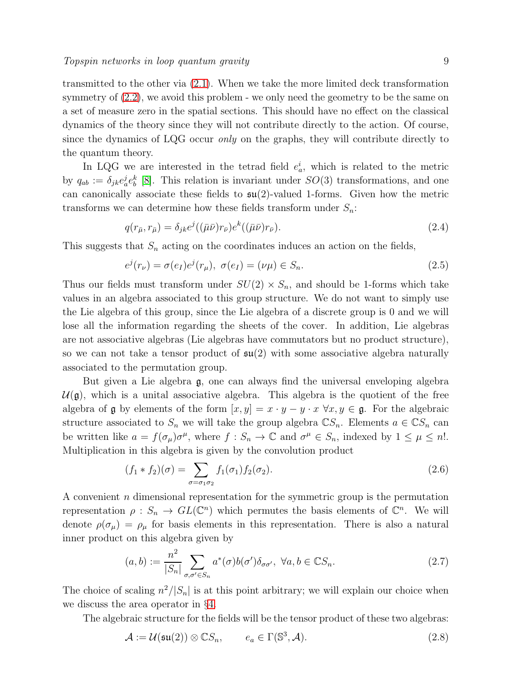transmitted to the other via [\(2.1\)](#page-8-0). When we take the more limited deck transformation symmetry of  $(2.2)$ , we avoid this problem - we only need the geometry to be the same on a set of measure zero in the spatial sections. This should have no effect on the classical dynamics of the theory since they will not contribute directly to the action. Of course, since the dynamics of LQG occur only on the graphs, they will contribute directly to the quantum theory.

In LQG we are interested in the tetrad field  $e_a^i$ , which is related to the metric by  $q_{ab} := \delta_{jk} e_a^j e_b^k$  [\[8\]](#page-33-2). This relation is invariant under  $SO(3)$  transformations, and one can canonically associate these fields to  $\mathfrak{su}(2)$ -valued 1-forms. Given how the metric transforms we can determine how these fields transform under  $S_n$ .

$$
q(r_{\bar{\mu}}, r_{\bar{\mu}}) = \delta_{jk} e^j((\bar{\mu}\bar{\nu})r_{\bar{\nu}}) e^k((\bar{\mu}\bar{\nu})r_{\bar{\nu}}).
$$
\n(2.4)

This suggests that  $S_n$  acting on the coordinates induces an action on the fields,

$$
e^{j}(r_{\nu}) = \sigma(e_{I})e^{j}(r_{\mu}), \ \sigma(e_{I}) = (\nu\mu) \in S_{n}.
$$
\n(2.5)

Thus our fields must transform under  $SU(2) \times S_n$ , and should be 1-forms which take values in an algebra associated to this group structure. We do not want to simply use the Lie algebra of this group, since the Lie algebra of a discrete group is 0 and we will lose all the information regarding the sheets of the cover. In addition, Lie algebras are not associative algebras (Lie algebras have commutators but no product structure), so we can not take a tensor product of  $\mathfrak{su}(2)$  with some associative algebra naturally associated to the permutation group.

But given a Lie algebra g, one can always find the universal enveloping algebra  $U(\mathfrak{g})$ , which is a unital associative algebra. This algebra is the quotient of the free algebra of  $\mathfrak g$  by elements of the form  $[x, y] = x \cdot y - y \cdot x \ \forall x, y \in \mathfrak g$ . For the algebraic structure associated to  $S_n$  we will take the group algebra  $\mathbb{C}S_n$ . Elements  $a \in \mathbb{C}S_n$  can be written like  $a = f(\sigma_\mu)\sigma^\mu$ , where  $f : S_n \to \mathbb{C}$  and  $\sigma^\mu \in S_n$ , indexed by  $1 \leq \mu \leq n!$ . Multiplication in this algebra is given by the convolution product

$$
(f_1 * f_2)(\sigma) = \sum_{\sigma = \sigma_1 \sigma_2} f_1(\sigma_1) f_2(\sigma_2).
$$
\n(2.6)

A convenient n dimensional representation for the symmetric group is the permutation representation  $\rho: S_n \to GL(\mathbb{C}^n)$  which permutes the basis elements of  $\mathbb{C}^n$ . We will denote  $\rho(\sigma_\mu) = \rho_\mu$  for basis elements in this representation. There is also a natural inner product on this algebra given by

<span id="page-9-0"></span>
$$
(a,b) := \frac{n^2}{|S_n|} \sum_{\sigma,\sigma' \in S_n} a^*(\sigma)b(\sigma')\delta_{\sigma\sigma'}, \ \forall a, b \in \mathbb{C}S_n.
$$
 (2.7)

The choice of scaling  $n^2/|S_n|$  is at this point arbitrary; we will explain our choice when we discuss the area operator in §[4.](#page-19-0)

The algebraic structure for the fields will be the tensor product of these two algebras:

$$
\mathcal{A} := \mathcal{U}(\mathfrak{su}(2)) \otimes \mathbb{C}S_n, \qquad e_a \in \Gamma(\mathbb{S}^3, \mathcal{A}). \tag{2.8}
$$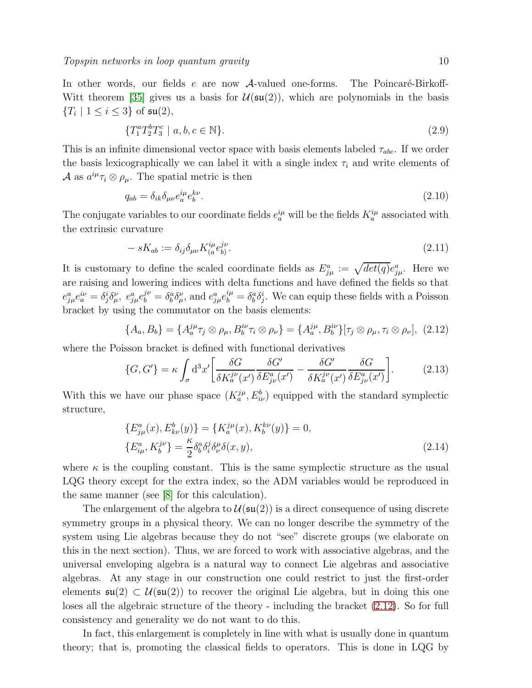In other words, our fields  $e$  are now  $\mathcal{A}$ -valued one-forms. The Poincaré-Birkoff-Witt theorem [\[35\]](#page-33-29) gives us a basis for  $\mathcal{U}(\mathfrak{su}(2))$ , which are polynomials in the basis  $\{T_i \mid 1 \leq i \leq 3\}$  of  $\mathfrak{su}(2)$ ,

$$
\{T_1^a T_2^b T_3^c \mid a, b, c \in \mathbb{N}\}.\tag{2.9}
$$

This is an infinite dimensional vector space with basis elements labeled  $\tau_{abc}$ . If we order the basis lexicographically we can label it with a single index  $\tau_i$  and write elements of  $\mathcal A$  as  $a^{i\mu}\tau_i \otimes \rho_\mu$ . The spatial metric is then

$$
q_{ab} = \delta_{ik}\delta_{\mu\nu}e_a^{i\mu}e_b^{k\nu}.
$$
\n
$$
(2.10)
$$

The conjugate variables to our coordinate fields  $e_a^{i\mu}$  will be the fields  $K_a^{i\mu}$  associated with the extrinsic curvature

$$
-sK_{ab} := \delta_{ij}\delta_{\mu\nu}K_{(a}^{i\mu}e_{b)}^{j\nu}.
$$
\n
$$
(2.11)
$$

It is customary to define the scaled coordinate fields as  $E_{j\mu}^a := \sqrt{det(q)}e_{j\mu}^a$ . Here we are raising and lowering indices with delta functions and have defined the fields so that  $e^a_{j\mu}e^{i\nu}_a = \delta^i_j \delta^{\nu}_\mu$ ,  $e^a_{j\mu}e^{j\nu}_b = \delta^a_b \delta^i_\mu$ , and  $e^a_{j\mu}e^{i\mu}_b = \delta^a_b \delta^i_j$ . We can equip these fields with a Poisson bracket by using the commutator on the basis elements:

<span id="page-10-0"></span>
$$
\{A_a, B_b\} = \{A_a^{j\mu}\tau_j \otimes \rho_\mu, B_b^{i\nu}\tau_i \otimes \rho_\nu\} = \{A_a^{j\mu}, B_b^{i\nu}\}[\tau_j \otimes \rho_\mu, \tau_i \otimes \rho_\nu], (2.12)
$$

where the Poisson bracket is defined with functional derivatives

$$
\{G, G'\} = \kappa \int_{\sigma} \mathrm{d}^3 x' \bigg[ \frac{\delta G}{\delta K_a^{j\nu}(x')} \frac{\delta G'}{\delta E_{j\nu}^a(x')} - \frac{\delta G'}{\delta K_a^{j\nu}(x')} \frac{\delta G}{\delta E_{j\nu}^a(x')} \bigg]. \tag{2.13}
$$

With this we have our phase space  $(K_a^{j\mu}, E_{i\nu}^b)$  equipped with the standard symplectic structure,

<span id="page-10-1"></span>
$$
\{E_{j\mu}^{a}(x), E_{k\nu}^{b}(y)\} = \{K_a^{j\mu}(x), K_b^{k\nu}(y)\} = 0,
$$
  

$$
\{E_{i\mu}^{a}, K_b^{j\nu}\} = \frac{\kappa}{2} \delta_b^{a} \delta_i^{j} \delta_{\nu}^{\mu} \delta(x, y),
$$
 (2.14)

where  $\kappa$  is the coupling constant. This is the same symplectic structure as the usual LQG theory except for the extra index, so the ADM variables would be reproduced in the same manner (see [\[8\]](#page-33-2) for this calculation).

The enlargement of the algebra to  $\mathcal{U}(\mathfrak{su}(2))$  is a direct consequence of using discrete symmetry groups in a physical theory. We can no longer describe the symmetry of the system using Lie algebras because they do not "see" discrete groups (we elaborate on this in the next section). Thus, we are forced to work with associative algebras, and the universal enveloping algebra is a natural way to connect Lie algebras and associative algebras. At any stage in our construction one could restrict to just the first-order elements  $\mathfrak{su}(2) \subset \mathcal{U}(\mathfrak{su}(2))$  to recover the original Lie algebra, but in doing this one loses all the algebraic structure of the theory - including the bracket [\(2.12\)](#page-10-0). So for full consistency and generality we do not want to do this.

In fact, this enlargement is completely in line with what is usually done in quantum theory; that is, promoting the classical fields to operators. This is done in LQG by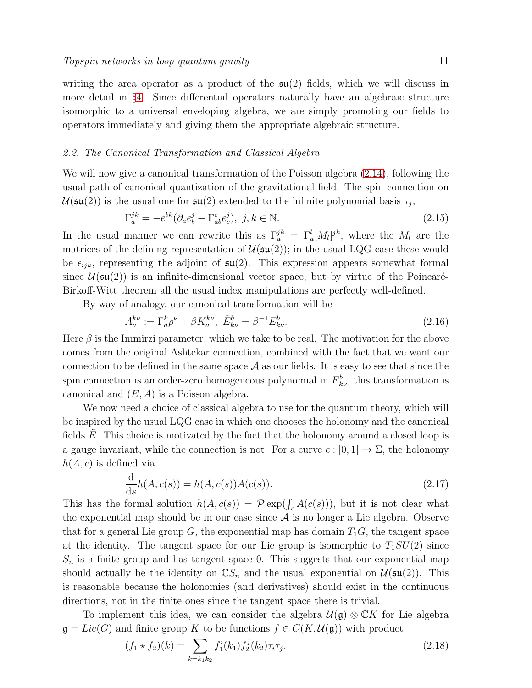writing the area operator as a product of the  $\mathfrak{su}(2)$  fields, which we will discuss in more detail in §[4.](#page-19-0) Since differential operators naturally have an algebraic structure isomorphic to a universal enveloping algebra, we are simply promoting our fields to operators immediately and giving them the appropriate algebraic structure.

### <span id="page-11-2"></span>2.2. The Canonical Transformation and Classical Algebra

We will now give a canonical transformation of the Poisson algebra [\(2.14\)](#page-10-1), following the usual path of canonical quantization of the gravitational field. The spin connection on  $\mathcal{U}(\mathfrak{su}(2))$  is the usual one for  $\mathfrak{su}(2)$  extended to the infinite polynomial basis  $\tau_j$ ,

$$
\Gamma_a^{jk} = -e^{bk} (\partial_a e_b^j - \Gamma_{ab}^c e_c^j), \ j, k \in \mathbb{N}.
$$
\n
$$
(2.15)
$$

In the usual manner we can rewrite this as  $\Gamma_a^{jk} = \Gamma_a^l [M_l]^{jk}$ , where the  $M_l$  are the matrices of the defining representation of  $\mathcal{U}(\mathfrak{su}(2))$ ; in the usual LQG case these would be  $\epsilon_{ijk}$ , representing the adjoint of  $\mathfrak{su}(2)$ . This expression appears somewhat formal since  $\mathcal{U}(\mathfrak{su}(2))$  is an infinite-dimensional vector space, but by virtue of the Poincaré-Birkoff-Witt theorem all the usual index manipulations are perfectly well-defined.

By way of analogy, our canonical transformation will be

<span id="page-11-0"></span>
$$
A_a^{k\nu} := \Gamma_a^k \rho^\nu + \beta K_a^{k\nu}, \ \tilde{E}_{k\nu}^b = \beta^{-1} E_{k\nu}^b. \tag{2.16}
$$

Here  $\beta$  is the Immirzi parameter, which we take to be real. The motivation for the above comes from the original Ashtekar connection, combined with the fact that we want our connection to be defined in the same space  $A$  as our fields. It is easy to see that since the spin connection is an order-zero homogeneous polynomial in  $E_{k\nu}^b$ , this transformation is canonical and  $(\tilde{E}, A)$  is a Poisson algebra.

We now need a choice of classical algebra to use for the quantum theory, which will be inspired by the usual LQG case in which one chooses the holonomy and the canonical fields  $E$ . This choice is motivated by the fact that the holonomy around a closed loop is a gauge invariant, while the connection is not. For a curve  $c : [0, 1] \to \Sigma$ , the holonomy  $h(A, c)$  is defined via

<span id="page-11-1"></span>
$$
\frac{d}{ds}h(A, c(s)) = h(A, c(s))A(c(s)).
$$
\n(2.17)

This has the formal solution  $h(A, c(s)) = \mathcal{P} \exp(\int_c A(c(s)))$ , but it is not clear what the exponential map should be in our case since  $A$  is no longer a Lie algebra. Observe that for a general Lie group G, the exponential map has domain  $T_1G$ , the tangent space at the identity. The tangent space for our Lie group is isomorphic to  $T_1SU(2)$  since  $S_n$  is a finite group and has tangent space 0. This suggests that our exponential map should actually be the identity on  $\mathbb{C}S_n$  and the usual exponential on  $\mathcal{U}(\mathfrak{su}(2))$ . This is reasonable because the holonomies (and derivatives) should exist in the continuous directions, not in the finite ones since the tangent space there is trivial.

To implement this idea, we can consider the algebra  $\mathcal{U}(\mathfrak{g}) \otimes \mathbb{C}K$  for Lie algebra  $\mathfrak{g} = Lie(G)$  and finite group K to be functions  $f \in C(K, \mathcal{U}(\mathfrak{g}))$  with product

$$
(f_1 * f_2)(k) = \sum_{k=k_1k_2} f_1^i(k_1) f_2^j(k_2) \tau_i \tau_j.
$$
\n(2.18)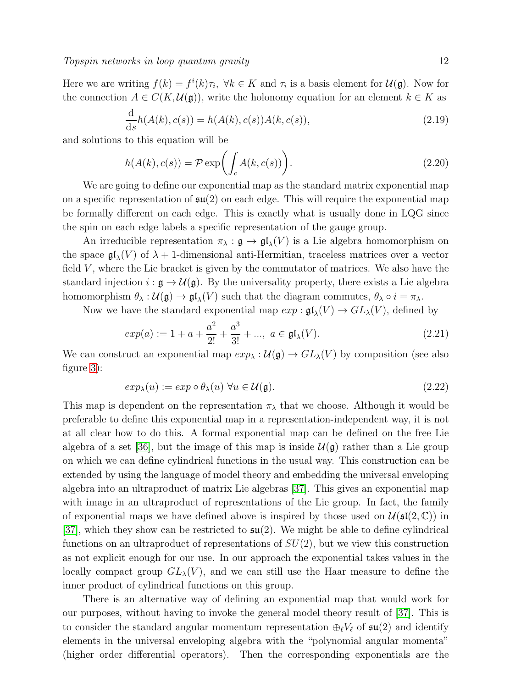Here we are writing  $f(k) = f^{i}(k)\tau_{i}$ ,  $\forall k \in K$  and  $\tau_{i}$  is a basis element for  $\mathcal{U}(\mathfrak{g})$ . Now for the connection  $A \in C(K, \mathcal{U}(\mathfrak{g}))$ , write the holonomy equation for an element  $k \in K$  as

$$
\frac{d}{ds}h(A(k),c(s)) = h(A(k),c(s))A(k,c(s)),
$$
\n(2.19)

and solutions to this equation will be

<span id="page-12-0"></span>
$$
h(A(k), c(s)) = \mathcal{P} \exp\left(\int_{c} A(k, c(s))\right).
$$
\n(2.20)

We are going to define our exponential map as the standard matrix exponential map on a specific representation of  $\mathfrak{su}(2)$  on each edge. This will require the exponential map be formally different on each edge. This is exactly what is usually done in LQG since the spin on each edge labels a specific representation of the gauge group.

An irreducible representation  $\pi_\lambda : \mathfrak{g} \to \mathfrak{gl}_\lambda(V)$  is a Lie algebra homomorphism on the space  $\mathfrak{gl}_\lambda(V)$  of  $\lambda + 1$ -dimensional anti-Hermitian, traceless matrices over a vector field  $V$ , where the Lie bracket is given by the commutator of matrices. We also have the standard injection  $i : \mathfrak{g} \to \mathcal{U}(\mathfrak{g})$ . By the universality property, there exists a Lie algebra homomorphism  $\theta_\lambda : \mathcal{U}(\mathfrak{g}) \to \mathfrak{gl}_\lambda(V)$  such that the diagram commutes,  $\theta_\lambda \circ i = \pi_\lambda$ .

Now we have the standard exponential map  $exp: \mathfrak{gl}_\lambda(V) \to GL_\lambda(V)$ , defined by

$$
exp(a) := 1 + a + \frac{a^2}{2!} + \frac{a^3}{3!} + \dots, \ a \in \mathfrak{gl}_\lambda(V). \tag{2.21}
$$

We can construct an exponential map  $exp_{\lambda}: \mathcal{U}(\mathfrak{g}) \to GL_{\lambda}(V)$  by composition (see also figure [3\)](#page-13-0):

<span id="page-12-1"></span>
$$
exp_{\lambda}(u) := exp \circ \theta_{\lambda}(u) \,\forall u \in \mathcal{U}(\mathfrak{g}). \tag{2.22}
$$

This map is dependent on the representation  $\pi_{\lambda}$  that we choose. Although it would be preferable to define this exponential map in a representation-independent way, it is not at all clear how to do this. A formal exponential map can be defined on the free Lie algebra of a set [\[36\]](#page-33-30), but the image of this map is inside  $\mathcal{U}(\mathfrak{g})$  rather than a Lie group on which we can define cylindrical functions in the usual way. This construction can be extended by using the language of model theory and embedding the universal enveloping algebra into an ultraproduct of matrix Lie algebras [\[37\]](#page-33-31). This gives an exponential map with image in an ultraproduct of representations of the Lie group. In fact, the family of exponential maps we have defined above is inspired by those used on  $\mathcal{U}(\mathfrak{sl}(2,\mathbb{C}))$  in [\[37\]](#page-33-31), which they show can be restricted to  $\mathfrak{su}(2)$ . We might be able to define cylindrical functions on an ultraproduct of representations of  $SU(2)$ , but we view this construction as not explicit enough for our use. In our approach the exponential takes values in the locally compact group  $GL<sub>\lambda</sub>(V)$ , and we can still use the Haar measure to define the inner product of cylindrical functions on this group.

There is an alternative way of defining an exponential map that would work for our purposes, without having to invoke the general model theory result of [\[37\]](#page-33-31). This is to consider the standard angular momentum representation  $\bigoplus_{\ell} V_{\ell}$  of  $\mathfrak{su}(2)$  and identify elements in the universal enveloping algebra with the "polynomial angular momenta" (higher order differential operators). Then the corresponding exponentials are the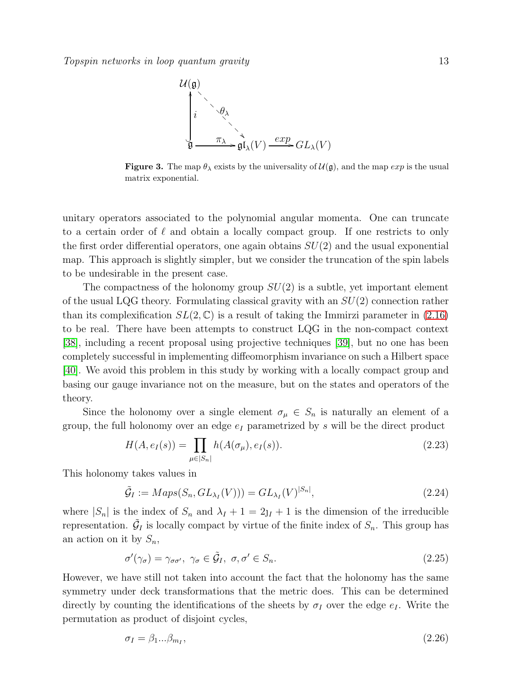

<span id="page-13-0"></span>**Figure 3.** The map  $\theta_{\lambda}$  exists by the universality of  $\mathcal{U}(\mathfrak{g})$ , and the map exp is the usual matrix exponential.

unitary operators associated to the polynomial angular momenta. One can truncate to a certain order of  $\ell$  and obtain a locally compact group. If one restricts to only the first order differential operators, one again obtains  $SU(2)$  and the usual exponential map. This approach is slightly simpler, but we consider the truncation of the spin labels to be undesirable in the present case.

The compactness of the holonomy group  $SU(2)$  is a subtle, yet important element of the usual LQG theory. Formulating classical gravity with an  $SU(2)$  connection rather than its complexification  $SL(2,\mathbb{C})$  is a result of taking the Immirzi parameter in [\(2.16\)](#page-11-0) to be real. There have been attempts to construct LQG in the non-compact context [\[38\]](#page-33-32), including a recent proposal using projective techniques [\[39\]](#page-33-33), but no one has been completely successful in implementing diffeomorphism invariance on such a Hilbert space [\[40\]](#page-33-34). We avoid this problem in this study by working with a locally compact group and basing our gauge invariance not on the measure, but on the states and operators of the theory.

Since the holonomy over a single element  $\sigma_{\mu} \in S_n$  is naturally an element of a group, the full holonomy over an edge  $e_I$  parametrized by s will be the direct product

$$
H(A, e_I(s)) = \prod_{\mu \in |S_n|} h(A(\sigma_{\mu}), e_I(s)).
$$
\n(2.23)

This holonomy takes values in

$$
\tilde{\mathcal{G}}_I := Maps(S_n, GL_{\lambda_I}(V))) = GL_{\lambda_I}(V)^{|S_n|},\tag{2.24}
$$

where  $|S_n|$  is the index of  $S_n$  and  $\lambda_I + 1 = 2_{I} + 1$  is the dimension of the irreducible representation.  $\tilde{G}_I$  is locally compact by virtue of the finite index of  $S_n$ . This group has an action on it by  $S_n$ ,

<span id="page-13-1"></span>
$$
\sigma'(\gamma_{\sigma}) = \gamma_{\sigma\sigma'}, \ \gamma_{\sigma} \in \tilde{\mathcal{G}}_I, \ \sigma, \sigma' \in S_n. \tag{2.25}
$$

However, we have still not taken into account the fact that the holonomy has the same symmetry under deck transformations that the metric does. This can be determined directly by counting the identifications of the sheets by  $\sigma_I$  over the edge  $e_I$ . Write the permutation as product of disjoint cycles,

$$
\sigma_I = \beta_1 \dots \beta_{m_I},\tag{2.26}
$$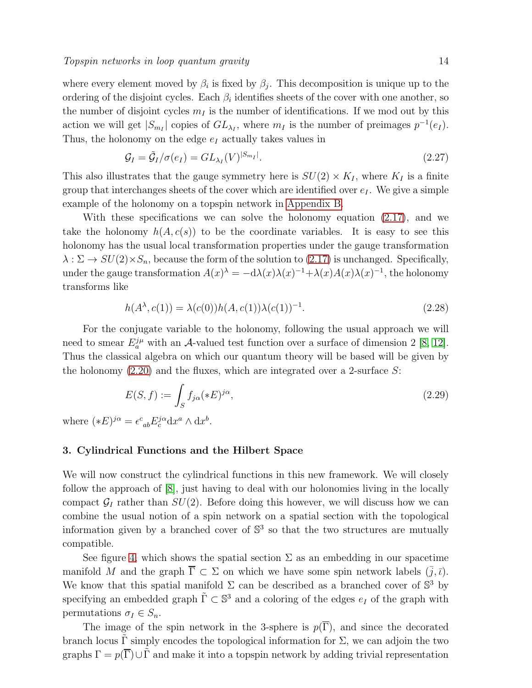where every element moved by  $\beta_i$  is fixed by  $\beta_j$ . This decomposition is unique up to the ordering of the disjoint cycles. Each  $\beta_i$  identifies sheets of the cover with one another, so the number of disjoint cycles  $m<sub>I</sub>$  is the number of identifications. If we mod out by this action we will get  $|S_{m_I}|$  copies of  $GL_{\lambda_I}$ , where  $m_I$  is the number of preimages  $p^{-1}(e_I)$ . Thus, the holonomy on the edge  $e_I$  actually takes values in

$$
\mathcal{G}_I = \tilde{\mathcal{G}}_I / \sigma(e_I) = GL_{\lambda_I}(V)^{|S_{m_I}|}.
$$
\n(2.27)

This also illustrates that the gauge symmetry here is  $SU(2) \times K_I$ , where  $K_I$  is a finite group that interchanges sheets of the cover which are identified over  $e_I$ . We give a simple example of the holonomy on a topspin network in [Appendix B.](#page-31-0)

With these specifications we can solve the holonomy equation [\(2.17\)](#page-11-1), and we take the holonomy  $h(A, c(s))$  to be the coordinate variables. It is easy to see this holonomy has the usual local transformation properties under the gauge transformation  $\lambda : \Sigma \to SU(2) \times S_n$ , because the form of the solution to [\(2.17\)](#page-11-1) is unchanged. Specifically, under the gauge transformation  $A(x)^{\lambda} = -d\lambda(x)\lambda(x)^{-1} + \lambda(x)A(x)\lambda(x)^{-1}$ , the holonomy transforms like

<span id="page-14-1"></span>
$$
h(A^{\lambda}, c(1)) = \lambda(c(0))h(A, c(1))\lambda(c(1))^{-1}.
$$
\n(2.28)

For the conjugate variable to the holonomy, following the usual approach we will need to smear  $E_a^{j\mu}$  with an A-valued test function over a surface of dimension 2 [\[8,](#page-33-2) [12\]](#page-33-6). Thus the classical algebra on which our quantum theory will be based will be given by the holonomy  $(2.20)$  and the fluxes, which are integrated over a 2-surface S:

$$
E(S, f) := \int_{S} f_{j\alpha}(*E)^{j\alpha},\tag{2.29}
$$

where  $(*E)^{j\alpha} = \epsilon^c_{ab} E_c^{j\alpha} dx^a \wedge dx^b$ .

## <span id="page-14-0"></span>3. Cylindrical Functions and the Hilbert Space

We will now construct the cylindrical functions in this new framework. We will closely follow the approach of [\[8\]](#page-33-2), just having to deal with our holonomies living in the locally compact  $\mathcal{G}_I$  rather than  $SU(2)$ . Before doing this however, we will discuss how we can combine the usual notion of a spin network on a spatial section with the topological information given by a branched cover of  $\mathbb{S}^3$  so that the two structures are mutually compatible.

See figure [4,](#page-15-0) which shows the spatial section  $\Sigma$  as an embedding in our spacetime manifold M and the graph  $\overline{\Gamma} \subset \Sigma$  on which we have some spin network labels  $(\overline{i}, \overline{i})$ . We know that this spatial manifold  $\Sigma$  can be described as a branched cover of  $\mathbb{S}^3$  by specifying an embedded graph  $\tilde{\Gamma} \subset \mathbb{S}^3$  and a coloring of the edges  $e_I$  of the graph with permutations  $\sigma_I \in S_n$ .

The image of the spin network in the 3-sphere is  $p(\overline{\Gamma})$ , and since the decorated branch locus  $\Gamma$  simply encodes the topological information for  $\Sigma$ , we can adjoin the two graphs  $\Gamma = p(\overline{\Gamma}) \cup \tilde{\Gamma}$  and make it into a topspin network by adding trivial representation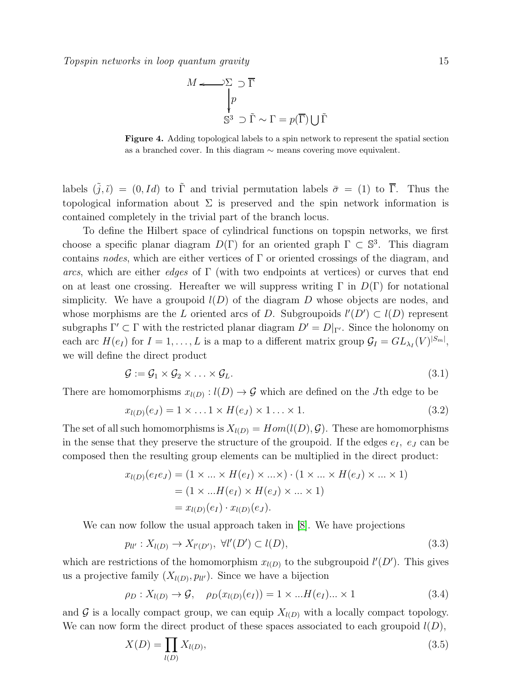Topspin networks in loop quantum gravity 15

$$
M \leftarrow \sum_{\Gamma} \supset \overline{\Gamma}
$$

$$
\downarrow p
$$

$$
\mathbb{S}^3 \supset \tilde{\Gamma} \sim \Gamma = p(\overline{\Gamma}) \cup \tilde{\Gamma}
$$

<span id="page-15-0"></span>Figure 4. Adding topological labels to a spin network to represent the spatial section as a branched cover. In this diagram ∼ means covering move equivalent.

labels  $(\tilde{j}, \tilde{\iota}) = (0, Id)$  to  $\tilde{\Gamma}$  and trivial permutation labels  $\bar{\sigma} = (1)$  to  $\bar{\Gamma}$ . Thus the topological information about  $\Sigma$  is preserved and the spin network information is contained completely in the trivial part of the branch locus.

To define the Hilbert space of cylindrical functions on topspin networks, we first choose a specific planar diagram  $D(\Gamma)$  for an oriented graph  $\Gamma \subset \mathbb{S}^3$ . This diagram contains *nodes*, which are either vertices of  $\Gamma$  or oriented crossings of the diagram, and arcs, which are either *edges* of  $\Gamma$  (with two endpoints at vertices) or curves that end on at least one crossing. Hereafter we will suppress writing  $\Gamma$  in  $D(\Gamma)$  for notational simplicity. We have a groupoid  $l(D)$  of the diagram D whose objects are nodes, and whose morphisms are the L oriented arcs of D. Subgroupoids  $l'(D') \subset l(D)$  represent subgraphs  $\Gamma' \subset \Gamma$  with the restricted planar diagram  $D' = D|_{\Gamma'}$ . Since the holonomy on each arc  $H(e_I)$  for  $I = 1, ..., L$  is a map to a different matrix group  $\mathcal{G}_I = GL_{\lambda_I}(V)^{|S_m|}$ , we will define the direct product

$$
\mathcal{G} := \mathcal{G}_1 \times \mathcal{G}_2 \times \ldots \times \mathcal{G}_L. \tag{3.1}
$$

There are homomorphisms  $x_{l(D)}: l(D) \to \mathcal{G}$  which are defined on the Jth edge to be

$$
x_{l(D)}(e_J) = 1 \times \ldots 1 \times H(e_J) \times 1 \ldots \times 1. \tag{3.2}
$$

The set of all such homomorphisms is  $X_{l(D)} = Hom(l(D), \mathcal{G})$ . These are homomorphisms in the sense that they preserve the structure of the groupoid. If the edges  $e_I$ ,  $e_J$  can be composed then the resulting group elements can be multiplied in the direct product:

$$
x_{l(D)}(e_Ie_J) = (1 \times \dots \times H(e_I) \times \dots \times) \cdot (1 \times \dots \times H(e_J) \times \dots \times 1)
$$
  
= (1 \times \dots H(e\_I) \times H(e\_J) \times \dots \times 1)  
=  $x_{l(D)}(e_I) \cdot x_{l(D)}(e_J).$ 

We can now follow the usual approach taken in [\[8\]](#page-33-2). We have projections

<span id="page-15-2"></span>
$$
p_{ll'}: X_{l(D)} \to X_{l'(D')}, \ \forall l'(D') \subset l(D), \tag{3.3}
$$

which are restrictions of the homomorphism  $x_{l(D)}$  to the subgroupoid  $l'(D')$ . This gives us a projective family  $(X_{l(D)}, p_{ll'})$ . Since we have a bijection

<span id="page-15-1"></span>
$$
\rho_D: X_{l(D)} \to \mathcal{G}, \quad \rho_D(x_{l(D)}(e_I)) = 1 \times ... H(e_I)... \times 1 \tag{3.4}
$$

and G is a locally compact group, we can equip  $X_{l(D)}$  with a locally compact topology. We can now form the direct product of these spaces associated to each groupoid  $l(D)$ ,

$$
X(D) = \prod_{l(D)} X_{l(D)},\tag{3.5}
$$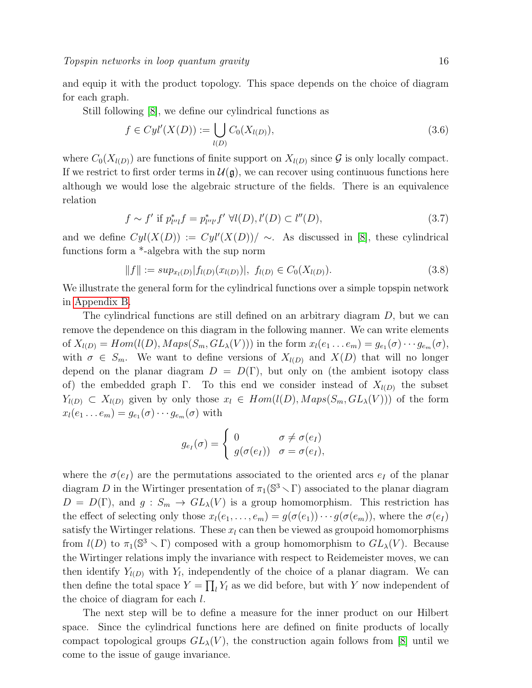and equip it with the product topology. This space depends on the choice of diagram for each graph.

Still following [\[8\]](#page-33-2), we define our cylindrical functions as

$$
f \in Cyl'(X(D)) := \bigcup_{l(D)} C_0(X_{l(D)}),
$$
\n(3.6)

where  $C_0(X_{l(D)})$  are functions of finite support on  $X_{l(D)}$  since  $\mathcal G$  is only locally compact. If we restrict to first order terms in  $\mathcal{U}(\mathfrak{g})$ , we can recover using continuous functions here although we would lose the algebraic structure of the fields. There is an equivalence relation

$$
f \sim f' \text{ if } p_{l''l}^* f = p_{l''l'}^* f' \ \forall l(D), l'(D) \subset l''(D),
$$
\n(3.7)

and we define  $Cyl(X(D)) := Cyl'(X(D))/ \sim$ . As discussed in [\[8\]](#page-33-2), these cylindrical functions form a \*-algebra with the sup norm

$$
||f|| := \sup_{x_l(D)} |f_{l(D)}(x_{l(D)})|, \ f_{l(D)} \in C_0(X_{l(D)}).
$$
\n(3.8)

We illustrate the general form for the cylindrical functions over a simple topspin network in [Appendix B.](#page-31-0)

The cylindrical functions are still defined on an arbitrary diagram  $D$ , but we can remove the dependence on this diagram in the following manner. We can write elements of  $X_{l(D)} = Hom(l(D), Maps(S_m, GL_\lambda(V)))$  in the form  $x_l(e_1...e_m) = g_{e_1}(\sigma) \cdots g_{e_m}(\sigma)$ , with  $\sigma \in S_m$ . We want to define versions of  $X_{l(D)}$  and  $X(D)$  that will no longer depend on the planar diagram  $D = D(\Gamma)$ , but only on (the ambient isotopy class of) the embedded graph Γ. To this end we consider instead of  $X_{l(D)}$  the subset  $Y_{l(D)} \subset X_{l(D)}$  given by only those  $x_l \in Hom(l(D), Maps(S_m, GL_\lambda(V)))$  of the form  $x_l(e_1 \ldots e_m) = g_{e_1}(\sigma) \cdots g_{e_m}(\sigma)$  with

$$
g_{e_I}(\sigma) = \begin{cases} 0 & \sigma \neq \sigma(e_I) \\ g(\sigma(e_I)) & \sigma = \sigma(e_I), \end{cases}
$$

where the  $\sigma(e_I)$  are the permutations associated to the oriented arcs  $e_I$  of the planar diagram D in the Wirtinger presentation of  $\pi_1(\mathbb{S}^3 \setminus \Gamma)$  associated to the planar diagram  $D = D(\Gamma)$ , and  $g: S_m \to GL_\lambda(V)$  is a group homomorphism. This restriction has the effect of selecting only those  $x_l(e_1, \ldots, e_m) = g(\sigma(e_1)) \cdots g(\sigma(e_m))$ , where the  $\sigma(e_l)$ satisfy the Wirtinger relations. These  $x_l$  can then be viewed as groupoid homomorphisms from  $l(D)$  to  $\pi_1(\mathbb{S}^3 \setminus \Gamma)$  composed with a group homomorphism to  $GL_\lambda(V)$ . Because the Wirtinger relations imply the invariance with respect to Reidemeister moves, we can then identify  $Y_{l(D)}$  with  $Y_l$ , independently of the choice of a planar diagram. We can then define the total space  $Y = \prod_l Y_l$  as we did before, but with Y now independent of the choice of diagram for each l.

The next step will be to define a measure for the inner product on our Hilbert space. Since the cylindrical functions here are defined on finite products of locally compact topological groups  $GL<sub>\lambda</sub>(V)$ , the construction again follows from [\[8\]](#page-33-2) until we come to the issue of gauge invariance.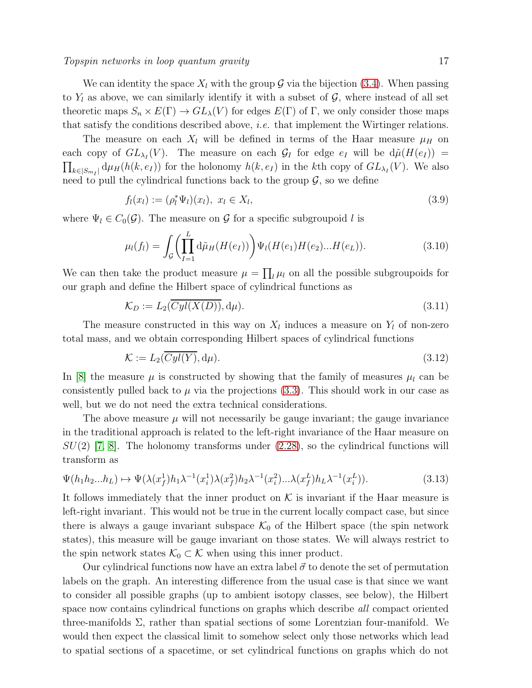## Topspin networks in loop quantum gravity 17

We can identity the space  $X_l$  with the group G via the bijection [\(3.4\)](#page-15-1). When passing to  $Y_l$  as above, we can similarly identify it with a subset of  $\mathcal{G}$ , where instead of all set theoretic maps  $S_n \times E(\Gamma) \to GL_\lambda(V)$  for edges  $E(\Gamma)$  of  $\Gamma$ , we only consider those maps that satisfy the conditions described above, i.e. that implement the Wirtinger relations.

The measure on each  $X_l$  will be defined in terms of the Haar measure  $\mu_H$  on each copy of  $GL_{\lambda_I}(V)$ . The measure on each  $\mathcal{G}_I$  for edge  $e_I$  will be  $d\tilde{\mu}(H(e_I))$  =  $\prod_{k\in [S_{m_I}]} d\mu_H(h(k, e_I))$  for the holonomy  $h(k, e_I)$  in the kth copy of  $GL_{\lambda_I}(V)$ . We also need to pull the cylindrical functions back to the group  $\mathcal{G}$ , so we define

$$
f_l(x_l) := (\rho_l^* \Psi_l)(x_l), \ x_l \in X_l,
$$
\n(3.9)

where  $\Psi_l \in C_0(\mathcal{G})$ . The measure on  $\mathcal G$  for a specific subgroupoid l is

$$
\mu_l(f_l) = \int_{\mathcal{G}} \left( \prod_{I=1}^L d\tilde{\mu}_H(H(e_I)) \right) \Psi_l(H(e_1)H(e_2)...H(e_L)). \tag{3.10}
$$

We can then take the product measure  $\mu = \prod_l \mu_l$  on all the possible subgroupoids for our graph and define the Hilbert space of cylindrical functions as

$$
\mathcal{K}_D := L_2(\overline{Cyl(X(D))}, \mathrm{d}\mu). \tag{3.11}
$$

The measure constructed in this way on  $X_l$  induces a measure on  $Y_l$  of non-zero total mass, and we obtain corresponding Hilbert spaces of cylindrical functions

$$
\mathcal{K} := L_2(\overline{Cyl(Y)}, \mathrm{d}\mu). \tag{3.12}
$$

In [\[8\]](#page-33-2) the measure  $\mu$  is constructed by showing that the family of measures  $\mu_l$  can be consistently pulled back to  $\mu$  via the projections [\(3.3\)](#page-15-2). This should work in our case as well, but we do not need the extra technical considerations.

The above measure  $\mu$  will not necessarily be gauge invariant; the gauge invariance in the traditional approach is related to the left-right invariance of the Haar measure on  $SU(2)$  [\[7,](#page-33-1) [8\]](#page-33-2). The holonomy transforms under  $(2.28)$ , so the cylindrical functions will transform as

$$
\Psi(h_1h_2...h_L) \mapsto \Psi(\lambda(x_f^1)h_1\lambda^{-1}(x_i^1)\lambda(x_f^2)h_2\lambda^{-1}(x_i^2)... \lambda(x_f^L)h_L\lambda^{-1}(x_i^L)).
$$
\n(3.13)

It follows immediately that the inner product on  $K$  is invariant if the Haar measure is left-right invariant. This would not be true in the current locally compact case, but since there is always a gauge invariant subspace  $\mathcal{K}_0$  of the Hilbert space (the spin network states), this measure will be gauge invariant on those states. We will always restrict to the spin network states  $\mathcal{K}_0 \subset \mathcal{K}$  when using this inner product.

Our cylindrical functions now have an extra label  $\vec{\sigma}$  to denote the set of permutation labels on the graph. An interesting difference from the usual case is that since we want to consider all possible graphs (up to ambient isotopy classes, see below), the Hilbert space now contains cylindrical functions on graphs which describe all compact oriented three-manifolds  $\Sigma$ , rather than spatial sections of some Lorentzian four-manifold. We would then expect the classical limit to somehow select only those networks which lead to spatial sections of a spacetime, or set cylindrical functions on graphs which do not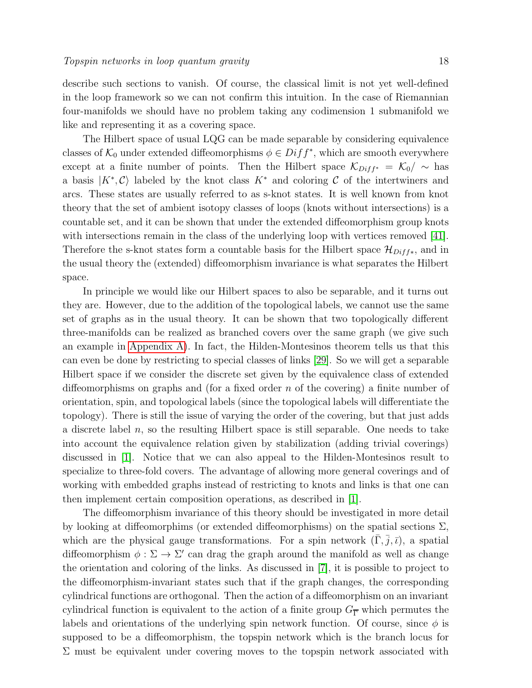describe such sections to vanish. Of course, the classical limit is not yet well-defined in the loop framework so we can not confirm this intuition. In the case of Riemannian four-manifolds we should have no problem taking any codimension 1 submanifold we like and representing it as a covering space.

The Hilbert space of usual LQG can be made separable by considering equivalence classes of  $\mathcal{K}_0$  under extended diffeomorphisms  $\phi \in Diff^*$ , which are smooth everywhere except at a finite number of points. Then the Hilbert space  $\mathcal{K}_{Diff^*} = \mathcal{K}_0 / \sim$  has a basis  $|K^*, \mathcal{C}\rangle$  labeled by the knot class  $K^*$  and coloring  $\mathcal C$  of the intertwiners and arcs. These states are usually referred to as s-knot states. It is well known from knot theory that the set of ambient isotopy classes of loops (knots without intersections) is a countable set, and it can be shown that under the extended diffeomorphism group knots with intersections remain in the class of the underlying loop with vertices removed [\[41\]](#page-33-35). Therefore the s-knot states form a countable basis for the Hilbert space  $\mathcal{H}_{Diff*}$ , and in the usual theory the (extended) diffeomorphism invariance is what separates the Hilbert space.

In principle we would like our Hilbert spaces to also be separable, and it turns out they are. However, due to the addition of the topological labels, we cannot use the same set of graphs as in the usual theory. It can be shown that two topologically different three-manifolds can be realized as branched covers over the same graph (we give such an example in [Appendix A\)](#page-29-0). In fact, the Hilden-Montesinos theorem tells us that this can even be done by restricting to special classes of links [\[29\]](#page-33-23). So we will get a separable Hilbert space if we consider the discrete set given by the equivalence class of extended diffeomorphisms on graphs and (for a fixed order  $n$  of the covering) a finite number of orientation, spin, and topological labels (since the topological labels will differentiate the topology). There is still the issue of varying the order of the covering, but that just adds a discrete label  $n$ , so the resulting Hilbert space is still separable. One needs to take into account the equivalence relation given by stabilization (adding trivial coverings) discussed in [\[1\]](#page-32-0). Notice that we can also appeal to the Hilden-Montesinos result to specialize to three-fold covers. The advantage of allowing more general coverings and of working with embedded graphs instead of restricting to knots and links is that one can then implement certain composition operations, as described in [\[1\]](#page-32-0).

The diffeomorphism invariance of this theory should be investigated in more detail by looking at diffeomorphims (or extended diffeomorphisms) on the spatial sections  $\Sigma$ , which are the physical gauge transformations. For a spin network  $(\bar{\Gamma}, \bar{j}, \bar{\iota})$ , a spatial diffeomorphism  $\phi : \Sigma \to \Sigma'$  can drag the graph around the manifold as well as change the orientation and coloring of the links. As discussed in [\[7\]](#page-33-1), it is possible to project to the diffeomorphism-invariant states such that if the graph changes, the corresponding cylindrical functions are orthogonal. Then the action of a diffeomorphism on an invariant cylindrical function is equivalent to the action of a finite group  $G_{\overline{\Gamma}}$  which permutes the labels and orientations of the underlying spin network function. Of course, since  $\phi$  is supposed to be a diffeomorphism, the topspin network which is the branch locus for  $\Sigma$  must be equivalent under covering moves to the topspin network associated with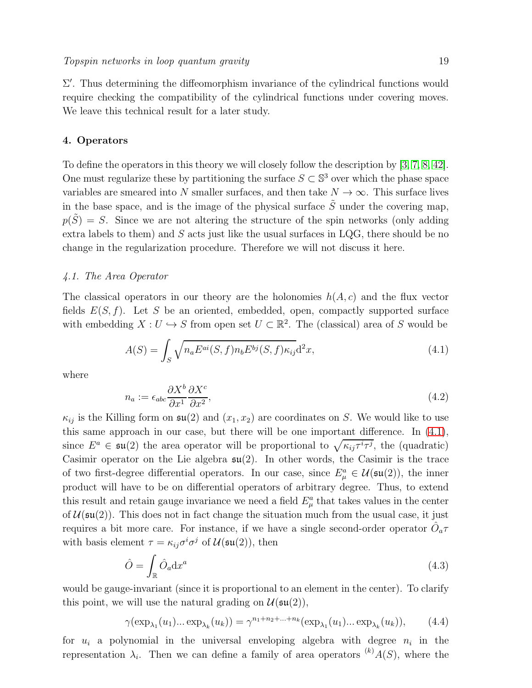$\Sigma'$ . Thus determining the diffeomorphism invariance of the cylindrical functions would require checking the compatibility of the cylindrical functions under covering moves. We leave this technical result for a later study.

## <span id="page-19-0"></span>4. Operators

To define the operators in this theory we will closely follow the description by [\[3,](#page-32-2) [7,](#page-33-1) [8,](#page-33-2) [42\]](#page-33-36). One must regularize these by partitioning the surface  $S \subset \mathbb{S}^3$  over which the phase space variables are smeared into N smaller surfaces, and then take  $N \to \infty$ . This surface lives in the base space, and is the image of the physical surface  $\tilde{S}$  under the covering map,  $p(\tilde{S}) = S$ . Since we are not altering the structure of the spin networks (only adding extra labels to them) and  $S$  acts just like the usual surfaces in LQG, there should be no change in the regularization procedure. Therefore we will not discuss it here.

## <span id="page-19-2"></span>4.1. The Area Operator

The classical operators in our theory are the holonomies  $h(A, c)$  and the flux vector fields  $E(S, f)$ . Let S be an oriented, embedded, open, compactly supported surface with embedding  $X: U \hookrightarrow S$  from open set  $U \subset \mathbb{R}^2$ . The (classical) area of S would be

<span id="page-19-1"></span>
$$
A(S) = \int_{S} \sqrt{n_a E^{ai}(S, f) n_b E^{bj}(S, f) \kappa_{ij}} d^2 x,
$$
\n(4.1)

where

$$
n_a := \epsilon_{abc} \frac{\partial X^b}{\partial x^1} \frac{\partial X^c}{\partial x^2},\tag{4.2}
$$

 $\kappa_{ij}$  is the Killing form on  $\mathfrak{su}(2)$  and  $(x_1, x_2)$  are coordinates on S. We would like to use this same approach in our case, but there will be one important difference. In [\(4.1\)](#page-19-1), since  $E^a \in \mathfrak{su}(2)$  the area operator will be proportional to  $\sqrt{\kappa_{ij} \tau^i \tau^j}$ , the (quadratic) Casimir operator on the Lie algebra  $\mathfrak{su}(2)$ . In other words, the Casimir is the trace of two first-degree differential operators. In our case, since  $E^a_\mu \in \mathcal{U}(\mathfrak{su}(2))$ , the inner product will have to be on differential operators of arbitrary degree. Thus, to extend this result and retain gauge invariance we need a field  $E^a_\mu$  that takes values in the center of  $\mathcal{U}(\mathfrak{su}(2))$ . This does not in fact change the situation much from the usual case, it just requires a bit more care. For instance, if we have a single second-order operator  $\hat{O}_a \tau$ with basis element  $\tau = \kappa_{ij}\sigma^i\sigma^j$  of  $\mathcal{U}(\mathfrak{su}(2))$ , then

$$
\hat{O} = \int_{\mathbb{R}} \hat{O}_a \mathrm{d}x^a \tag{4.3}
$$

would be gauge-invariant (since it is proportional to an element in the center). To clarify this point, we will use the natural grading on  $\mathcal{U}(\mathfrak{su}(2)),$ 

$$
\gamma(\exp_{\lambda_1}(u_1)\dots\exp_{\lambda_k}(u_k)) = \gamma^{n_1+n_2+\dots+n_k}(\exp_{\lambda_1}(u_1)\dots\exp_{\lambda_k}(u_k)),\tag{4.4}
$$

for  $u_i$  a polynomial in the universal enveloping algebra with degree  $n_i$  in the representation  $\lambda_i$ . Then we can define a family of area operators  $(k)A(S)$ , where the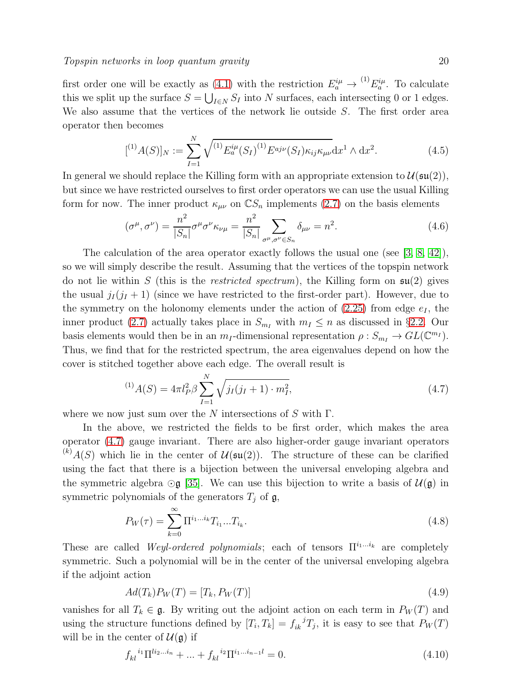first order one will be exactly as [\(4.1\)](#page-19-1) with the restriction  $E_a^{i\mu} \to {}^{(1)}E_a^{i\mu}$ . To calculate this we split up the surface  $S = \bigcup_{I \in N} S_I$  into N surfaces, each intersecting 0 or 1 edges. We also assume that the vertices of the network lie outside S. The first order area operator then becomes

$$
[{}^{(1)}A(S)]_N := \sum_{I=1}^N \sqrt{{}^{(1)}E_a^{i\mu}(S_I)^{(1)}E^{aj\nu}(S_I)\kappa_{ij}\kappa_{\mu\nu}}dx^1 \wedge dx^2.
$$
 (4.5)

In general we should replace the Killing form with an appropriate extension to  $\mathcal{U}(\mathfrak{su}(2))$ , but since we have restricted ourselves to first order operators we can use the usual Killing form for now. The inner product  $\kappa_{\mu\nu}$  on  $\mathbb{C}S_n$  implements [\(2.7\)](#page-9-0) on the basis elements

$$
(\sigma^{\mu}, \sigma^{\nu}) = \frac{n^2}{|S_n|} \sigma^{\mu} \sigma^{\nu} \kappa_{\nu\mu} = \frac{n^2}{|S_n|} \sum_{\sigma^{\mu}, \sigma^{\nu} \in S_n} \delta_{\mu\nu} = n^2.
$$
 (4.6)

The calculation of the area operator exactly follows the usual one (see [\[3,](#page-32-2) [8,](#page-33-2) [42\]](#page-33-36)), so we will simply describe the result. Assuming that the vertices of the topspin network do not lie within S (this is the *restricted spectrum*), the Killing form on  $\mathfrak{su}(2)$  gives the usual  $j_I(j_I + 1)$  (since we have restricted to the first-order part). However, due to the symmetry on the holonomy elements under the action of  $(2.25)$  from edge  $e_I$ , the inner product [\(2.7\)](#page-9-0) actually takes place in  $S_{m_I}$  with  $m_I \leq n$  as discussed in §[2.2.](#page-11-2) Our basis elements would then be in an  $m_I$ -dimensional representation  $\rho: S_{m_I} \to GL(\mathbb{C}^{m_I})$ . Thus, we find that for the restricted spectrum, the area eigenvalues depend on how the cover is stitched together above each edge. The overall result is

<span id="page-20-0"></span>
$$
^{(1)}A(S) = 4\pi l_P^2 \beta \sum_{I=1}^N \sqrt{j_I(j_I+1) \cdot m_I^2},\tag{4.7}
$$

where we now just sum over the N intersections of S with  $\Gamma$ .

In the above, we restricted the fields to be first order, which makes the area operator [\(4.7\)](#page-20-0) gauge invariant. There are also higher-order gauge invariant operators <sup>(k)</sup> $A(S)$  which lie in the center of  $\mathcal{U}(\mathfrak{su}(2))$ . The structure of these can be clarified using the fact that there is a bijection between the universal enveloping algebra and the symmetric algebra  $\odot$ g [\[35\]](#page-33-29). We can use this bijection to write a basis of  $\mathcal{U}(\mathfrak{g})$  in symmetric polynomials of the generators  $T_j$  of  $\mathfrak{g}$ ,

$$
P_W(\tau) = \sum_{k=0}^{\infty} \Pi^{i_1...i_k} T_{i_1}...T_{i_k}.
$$
\n(4.8)

These are called Weyl-ordered polynomials; each of tensors  $\Pi^{i_1...i_k}$  are completely symmetric. Such a polynomial will be in the center of the universal enveloping algebra if the adjoint action

$$
Ad(T_k)P_W(T) = [T_k, P_W(T)] \tag{4.9}
$$

vanishes for all  $T_k \in \mathfrak{g}$ . By writing out the adjoint action on each term in  $P_W(T)$  and using the structure functions defined by  $[T_i, T_k] = f_{ik}^{\phantom{ik}j}T_j$ , it is easy to see that  $P_W(T)$ will be in the center of  $\mathcal{U}(\mathfrak{g})$  if

$$
f_{kl}^{i_1} \Pi^{li_2...i_n} + \dots + f_{kl}^{i_2} \Pi^{i_1...i_{n-1}l} = 0.
$$
\n(4.10)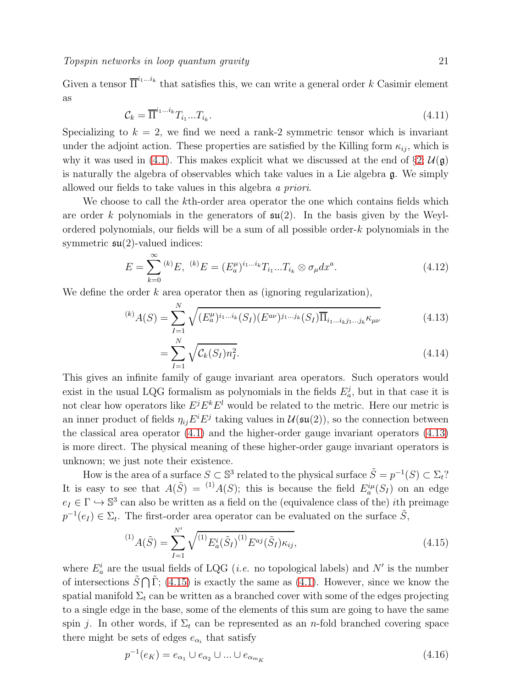Given a tensor  $\overline{\Pi}^{i_1...i_k}$  that satisfies this, we can write a general order k Casimir element as

$$
\mathcal{C}_k = \overline{\Pi}^{i_1 \dots i_k} T_{i_1} \dots T_{i_k}.\tag{4.11}
$$

Specializing to  $k = 2$ , we find we need a rank-2 symmetric tensor which is invariant under the adjoint action. These properties are satisfied by the Killing form  $\kappa_{ij}$ , which is why it was used in [\(4.1\)](#page-19-1). This makes explicit what we discussed at the end of  $\S2$ ;  $\mathcal{U}(\mathfrak{g})$ is naturally the algebra of observables which take values in a Lie algebra  $\mathfrak{g}$ . We simply allowed our fields to take values in this algebra a priori.

We choose to call the kth-order area operator the one which contains fields which are order k polynomials in the generators of  $\mathfrak{su}(2)$ . In the basis given by the Weylordered polynomials, our fields will be a sum of all possible order-k polynomials in the symmetric  $\mathfrak{su}(2)$ -valued indices:

$$
E = \sum_{k=0}^{\infty} {^{(k)}E, (^{k)}E} = (E_a^{\mu})^{i_1...i_k} T_{i_1}...T_{i_k} \otimes \sigma_{\mu} dx^a.
$$
 (4.12)

We define the order  $k$  area operator then as (ignoring regularization),

<span id="page-21-0"></span>
$$
^{(k)}A(S) = \sum_{I=1}^{N} \sqrt{(E_a^{\mu})^{i_1...i_k}(S_I)(E^{a\nu})^{j_1...j_k}(S_I)\overline{\Pi}_{i_1...i_kj_1...j_k}\kappa_{\mu\nu}}
$$
(4.13)

$$
=\sum_{I=1}^{N}\sqrt{\mathcal{C}_{k}(S_{I})n_{I}^{2}}.\tag{4.14}
$$

This gives an infinite family of gauge invariant area operators. Such operators would exist in the usual LQG formalism as polynomials in the fields  $E_a^j$ , but in that case it is not clear how operators like  $E^jE^kE^l$  would be related to the metric. Here our metric is an inner product of fields  $\eta_{ij} E^{i} E^{j}$  taking values in  $\mathcal{U}(\mathfrak{su}(2))$ , so the connection between the classical area operator [\(4.1\)](#page-19-1) and the higher-order gauge invariant operators [\(4.13\)](#page-21-0) is more direct. The physical meaning of these higher-order gauge invariant operators is unknown; we just note their existence.

How is the area of a surface  $S \subset \mathbb{S}^3$  related to the physical surface  $\tilde{S} = p^{-1}(S) \subset \Sigma_t$ ? It is easy to see that  $A(\tilde{S}) = {}^{(1)}A(S)$ ; this is because the field  $E_a^{i\mu}(S_I)$  on an edge  $e_I \in \Gamma \hookrightarrow \mathbb{S}^3$  can also be written as a field on the (equivalence class of the) *i*th preimage  $p^{-1}(e_I) \in \Sigma_t$ . The first-order area operator can be evaluated on the surface  $\tilde{S}$ ,

<span id="page-21-1"></span>
$$
^{(1)}A(\tilde{S}) = \sum_{I=1}^{N'} \sqrt{^{(1)}E_a^i(\tilde{S}_I)^{(1)}E^{aj}(\tilde{S}_I)\kappa_{ij}},
$$
\n(4.15)

where  $E_a^i$  are the usual fields of LQG (*i.e.* no topological labels) and N' is the number of intersections  $\tilde{S} \cap \tilde{\Gamma}$ ; [\(4.15\)](#page-21-1) is exactly the same as [\(4.1\)](#page-19-1). However, since we know the spatial manifold  $\Sigma_t$  can be written as a branched cover with some of the edges projecting to a single edge in the base, some of the elements of this sum are going to have the same spin j. In other words, if  $\Sigma_t$  can be represented as an *n*-fold branched covering space there might be sets of edges  $e_{\alpha_i}$  that satisfy

$$
p^{-1}(e_K) = e_{\alpha_1} \cup e_{\alpha_2} \cup \dots \cup e_{\alpha_{m_K}}
$$
\n(4.16)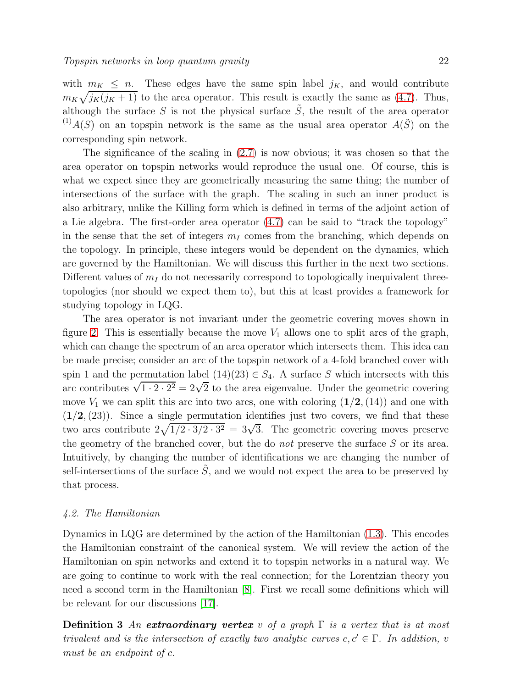with  $m_K \leq n$ . These edges have the same spin label  $j_K$ , and would contribute  $m_K\sqrt{j_K(j_K+1)}$  to the area operator. This result is exactly the same as [\(4.7\)](#page-20-0). Thus, although the surface S is not the physical surface  $\tilde{S}$ , the result of the area operator  $^{(1)}A(S)$  on an topspin network is the same as the usual area operator  $A(\tilde{S})$  on the corresponding spin network.

The significance of the scaling in [\(2.7\)](#page-9-0) is now obvious; it was chosen so that the area operator on topspin networks would reproduce the usual one. Of course, this is what we expect since they are geometrically measuring the same thing; the number of intersections of the surface with the graph. The scaling in such an inner product is also arbitrary, unlike the Killing form which is defined in terms of the adjoint action of a Lie algebra. The first-order area operator [\(4.7\)](#page-20-0) can be said to "track the topology" in the sense that the set of integers  $m<sub>I</sub>$  comes from the branching, which depends on the topology. In principle, these integers would be dependent on the dynamics, which are governed by the Hamiltonian. We will discuss this further in the next two sections. Different values of  $m<sub>I</sub>$  do not necessarily correspond to topologically inequivalent threetopologies (nor should we expect them to), but this at least provides a framework for studying topology in LQG.

The area operator is not invariant under the geometric covering moves shown in figure [2.](#page-7-1) This is essentially because the move  $V_1$  allows one to split arcs of the graph, which can change the spectrum of an area operator which intersects them. This idea can be made precise; consider an arc of the topspin network of a 4-fold branched cover with spin 1 and the permutation label  $(14)(23) \in S_4$ . A surface S which intersects with this arc contributes  $\sqrt{1 \cdot 2 \cdot 2^2} = 2\sqrt{2}$  to the area eigenvalue. Under the geometric covering move  $V_1$  we can split this arc into two arcs, one with coloring  $(1/2,(14))$  and one with  $(1/2,(23))$ . Since a single permutation identifies just two covers, we find that these two arcs contribute  $2\sqrt{1/2 \cdot 3/2 \cdot 3^2} = 3\sqrt{3}$ . The geometric covering moves preserve the geometry of the branched cover, but the do not preserve the surface S or its area. Intuitively, by changing the number of identifications we are changing the number of self-intersections of the surface  $\tilde{S}$ , and we would not expect the area to be preserved by that process.

## 4.2. The Hamiltonian

Dynamics in LQG are determined by the action of the Hamiltonian [\(1.3\)](#page-3-0). This encodes the Hamiltonian constraint of the canonical system. We will review the action of the Hamiltonian on spin networks and extend it to topspin networks in a natural way. We are going to continue to work with the real connection; for the Lorentzian theory you need a second term in the Hamiltonian [\[8\]](#page-33-2). First we recall some definitions which will be relevant for our discussions [\[17\]](#page-33-11).

<span id="page-22-1"></span><span id="page-22-0"></span>**Definition 3** An extraordinary vertex v of a graph  $\Gamma$  is a vertex that is at most trivalent and is the intersection of exactly two analytic curves c,  $c' \in \Gamma$ . In addition, v must be an endpoint of c.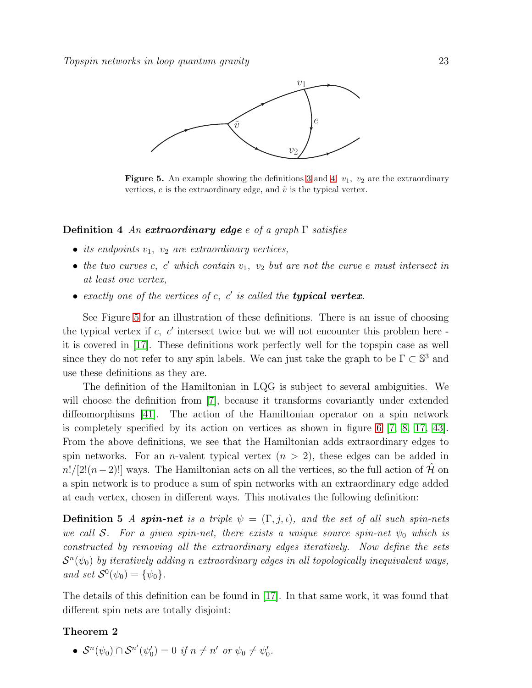

<span id="page-23-0"></span>**Figure 5.** An example showing the definitions [3](#page-22-0) and [4.](#page-22-1)  $v_1$ ,  $v_2$  are the extraordinary vertices,  $e$  is the extraordinary edge, and  $\tilde{v}$  is the typical vertex.

### Definition 4 An extraordinary edge e of a graph  $\Gamma$  satisfies

- its endpoints  $v_1$ ,  $v_2$  are extraordinary vertices,
- the two curves c, c' which contain  $v_1$ ,  $v_2$  but are not the curve e must intersect in at least one vertex,
- exactly one of the vertices of  $c, c'$  is called the **typical vertex**.

See Figure [5](#page-23-0) for an illustration of these definitions. There is an issue of choosing the typical vertex if  $c$ ,  $c'$  intersect twice but we will not encounter this problem here it is covered in [\[17\]](#page-33-11). These definitions work perfectly well for the topspin case as well since they do not refer to any spin labels. We can just take the graph to be  $\Gamma \subset \mathbb{S}^3$  and use these definitions as they are.

The definition of the Hamiltonian in LQG is subject to several ambiguities. We will choose the definition from [\[7\]](#page-33-1), because it transforms covariantly under extended diffeomorphisms [\[41\]](#page-33-35). The action of the Hamiltonian operator on a spin network is completely specified by its action on vertices as shown in figure [6](#page-24-0) [\[7,](#page-33-1) [8,](#page-33-2) [17,](#page-33-11) [43\]](#page-33-37). From the above definitions, we see that the Hamiltonian adds extraordinary edges to spin networks. For an *n*-valent typical vertex  $(n > 2)$ , these edges can be added in  $n!/[2!(n-2)!]$  ways. The Hamiltonian acts on all the vertices, so the full action of H on a spin network is to produce a sum of spin networks with an extraordinary edge added at each vertex, chosen in different ways. This motivates the following definition:

<span id="page-23-1"></span>**Definition 5** A **spin-net** is a triple  $\psi = (\Gamma, j, \iota)$ , and the set of all such spin-nets we call S. For a given spin-net, there exists a unique source spin-net  $\psi_0$  which is constructed by removing all the extraordinary edges iteratively. Now define the sets  $\mathcal{S}^n(\psi_0)$  by iteratively adding  $n$  extraordinary edges in all topologically inequivalent ways, and set  $S^0(\psi_0) = {\psi_0}.$ 

<span id="page-23-2"></span>The details of this definition can be found in [\[17\]](#page-33-11). In that same work, it was found that different spin nets are totally disjoint:

# Theorem 2

•  $S^n(\psi_0) \cap S^{n'}(\psi'_0) = 0$  if  $n \neq n'$  or  $\psi_0 \neq \psi'_0$ .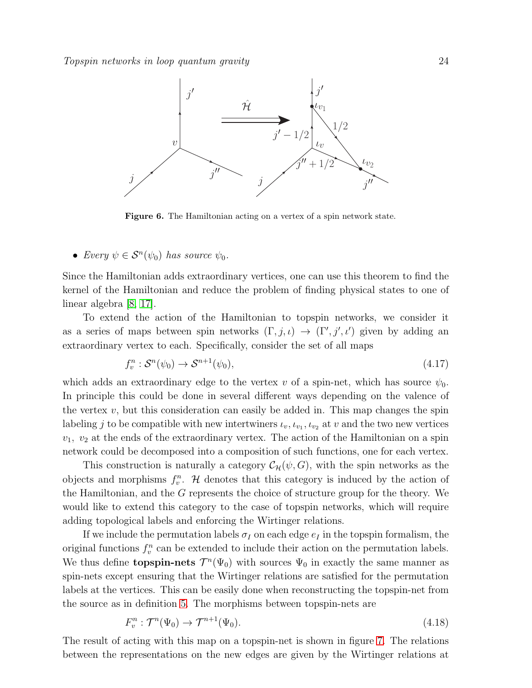

<span id="page-24-0"></span>Figure 6. The Hamiltonian acting on a vertex of a spin network state.

• Every  $\psi \in \mathcal{S}^n(\psi_0)$  has source  $\psi_0$ .

Since the Hamiltonian adds extraordinary vertices, one can use this theorem to find the kernel of the Hamiltonian and reduce the problem of finding physical states to one of linear algebra [\[8,](#page-33-2) [17\]](#page-33-11).

To extend the action of the Hamiltonian to topspin networks, we consider it as a series of maps between spin networks  $(\Gamma, j, \iota) \to (\Gamma', j', \iota')$  given by adding an extraordinary vertex to each. Specifically, consider the set of all maps

$$
f_v^n: \mathcal{S}^n(\psi_0) \to \mathcal{S}^{n+1}(\psi_0),\tag{4.17}
$$

which adds an extraordinary edge to the vertex v of a spin-net, which has source  $\psi_0$ . In principle this could be done in several different ways depending on the valence of the vertex  $v$ , but this consideration can easily be added in. This map changes the spin labeling *j* to be compatible with new intertwiners  $\iota_v, \iota_{v_1}, \iota_{v_2}$  at v and the two new vertices  $v_1, v_2$  at the ends of the extraordinary vertex. The action of the Hamiltonian on a spin network could be decomposed into a composition of such functions, one for each vertex.

This construction is naturally a category  $\mathcal{C}_{\mathcal{H}}(\psi, G)$ , with the spin networks as the objects and morphisms  $f_v^n$ . H denotes that this category is induced by the action of the Hamiltonian, and the G represents the choice of structure group for the theory. We would like to extend this category to the case of topspin networks, which will require adding topological labels and enforcing the Wirtinger relations.

If we include the permutation labels  $\sigma_I$  on each edge  $e_I$  in the topspin formalism, the original functions  $f_v^n$  can be extended to include their action on the permutation labels. We thus define **topspin-nets**  $\mathcal{T}^n(\Psi_0)$  with sources  $\Psi_0$  in exactly the same manner as spin-nets except ensuring that the Wirtinger relations are satisfied for the permutation labels at the vertices. This can be easily done when reconstructing the topspin-net from the source as in definition [5.](#page-23-1) The morphisms between topspin-nets are

$$
F_v^n: \mathcal{T}^n(\Psi_0) \to \mathcal{T}^{n+1}(\Psi_0). \tag{4.18}
$$

The result of acting with this map on a topspin-net is shown in figure [7.](#page-25-0) The relations between the representations on the new edges are given by the Wirtinger relations at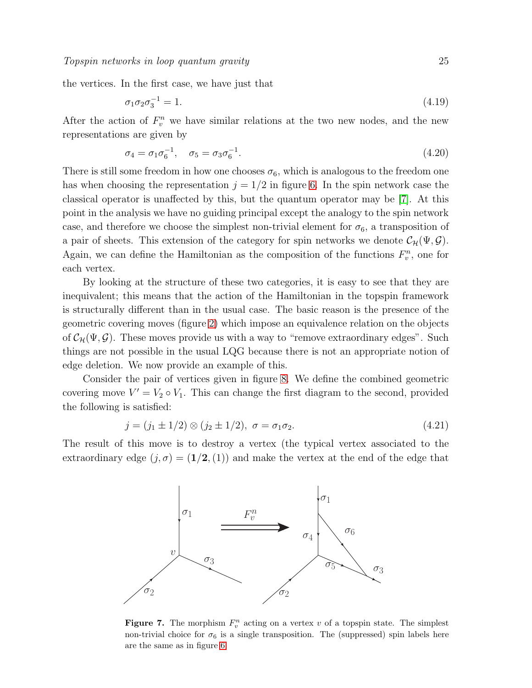the vertices. In the first case, we have just that

$$
\sigma_1 \sigma_2 \sigma_3^{-1} = 1. \tag{4.19}
$$

After the action of  $F_v^n$  we have similar relations at the two new nodes, and the new representations are given by

$$
\sigma_4 = \sigma_1 \sigma_6^{-1}, \quad \sigma_5 = \sigma_3 \sigma_6^{-1}.
$$
\n(4.20)

There is still some freedom in how one chooses  $\sigma_6$ , which is analogous to the freedom one has when choosing the representation  $j = 1/2$  in figure [6.](#page-24-0) In the spin network case the classical operator is unaffected by this, but the quantum operator may be [\[7\]](#page-33-1). At this point in the analysis we have no guiding principal except the analogy to the spin network case, and therefore we choose the simplest non-trivial element for  $\sigma_6$ , a transposition of a pair of sheets. This extension of the category for spin networks we denote  $\mathcal{C}_{\mathcal{H}}(\Psi, \mathcal{G})$ . Again, we can define the Hamiltonian as the composition of the functions  $F_v^n$ , one for each vertex.

By looking at the structure of these two categories, it is easy to see that they are inequivalent; this means that the action of the Hamiltonian in the topspin framework is structurally different than in the usual case. The basic reason is the presence of the geometric covering moves (figure [2\)](#page-7-1) which impose an equivalence relation on the objects of  $\mathcal{C}_{\mathcal{H}}(\Psi, \mathcal{G})$ . These moves provide us with a way to "remove extraordinary edges". Such things are not possible in the usual LQG because there is not an appropriate notion of edge deletion. We now provide an example of this.

Consider the pair of vertices given in figure [8.](#page-26-0) We define the combined geometric covering move  $V' = V_2 \circ V_1$ . This can change the first diagram to the second, provided the following is satisfied:

$$
j = (j_1 \pm 1/2) \otimes (j_2 \pm 1/2), \ \sigma = \sigma_1 \sigma_2. \tag{4.21}
$$

The result of this move is to destroy a vertex (the typical vertex associated to the extraordinary edge  $(j, \sigma) = (1/2, 1)$  and make the vertex at the end of the edge that



<span id="page-25-0"></span>**Figure 7.** The morphism  $F_v^n$  acting on a vertex v of a topspin state. The simplest non-trivial choice for  $\sigma_6$  is a single transposition. The (suppressed) spin labels here are the same as in figure [6.](#page-24-0)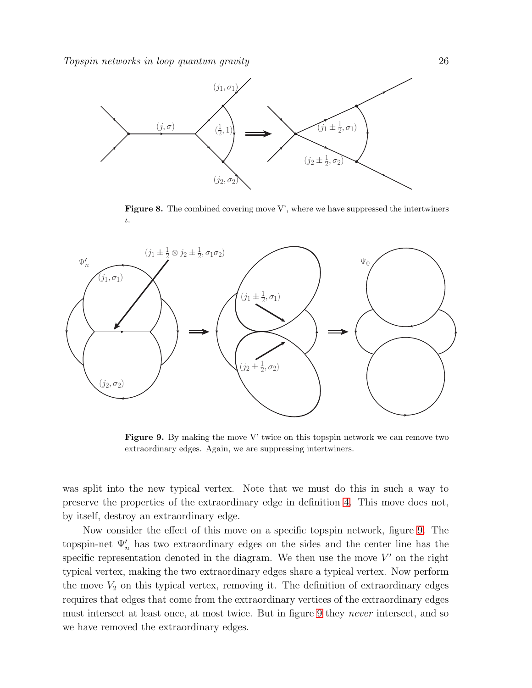

<span id="page-26-0"></span>Figure 8. The combined covering move V', where we have suppressed the intertwiners ι.



<span id="page-26-1"></span>Figure 9. By making the move V' twice on this topspin network we can remove two extraordinary edges. Again, we are suppressing intertwiners.

was split into the new typical vertex. Note that we must do this in such a way to preserve the properties of the extraordinary edge in definition [4.](#page-22-1) This move does not, by itself, destroy an extraordinary edge.

Now consider the effect of this move on a specific topspin network, figure [9.](#page-26-1) The topspin-net  $\Psi_n'$  has two extraordinary edges on the sides and the center line has the specific representation denoted in the diagram. We then use the move  $V'$  on the right typical vertex, making the two extraordinary edges share a typical vertex. Now perform the move  $V_2$  on this typical vertex, removing it. The definition of extraordinary edges requires that edges that come from the extraordinary vertices of the extraordinary edges must intersect at least once, at most twice. But in figure [9](#page-26-1) they never intersect, and so we have removed the extraordinary edges.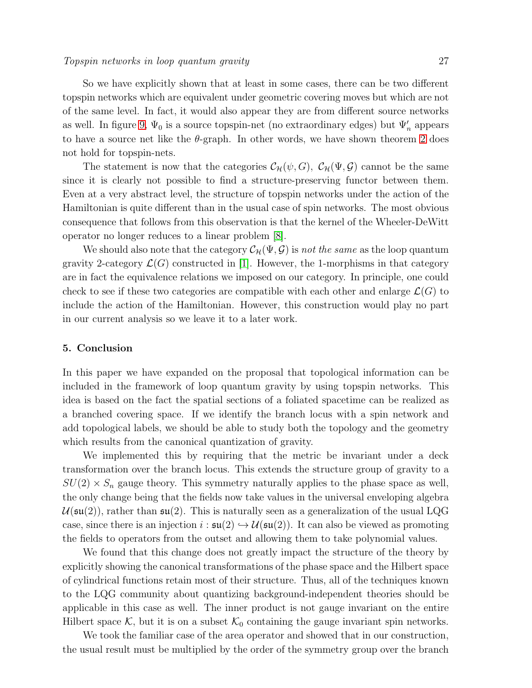So we have explicitly shown that at least in some cases, there can be two different topspin networks which are equivalent under geometric covering moves but which are not of the same level. In fact, it would also appear they are from different source networks as well. In figure [9,](#page-26-1)  $\Psi_0$  is a source topspin-net (no extraordinary edges) but  $\Psi'_n$  appears to have a source net like the  $\theta$ -graph. In other words, we have shown theorem [2](#page-23-2) does not hold for topspin-nets.

The statement is now that the categories  $\mathcal{C}_{\mathcal{H}}(\psi, G)$ ,  $\mathcal{C}_{\mathcal{H}}(\Psi, \mathcal{G})$  cannot be the same since it is clearly not possible to find a structure-preserving functor between them. Even at a very abstract level, the structure of topspin networks under the action of the Hamiltonian is quite different than in the usual case of spin networks. The most obvious consequence that follows from this observation is that the kernel of the Wheeler-DeWitt operator no longer reduces to a linear problem [\[8\]](#page-33-2).

We should also note that the category  $\mathcal{C}_{\mathcal{H}}(\Psi, \mathcal{G})$  is not the same as the loop quantum gravity 2-category  $\mathcal{L}(G)$  constructed in [\[1\]](#page-32-0). However, the 1-morphisms in that category are in fact the equivalence relations we imposed on our category. In principle, one could check to see if these two categories are compatible with each other and enlarge  $\mathcal{L}(G)$  to include the action of the Hamiltonian. However, this construction would play no part in our current analysis so we leave it to a later work.

# <span id="page-27-0"></span>5. Conclusion

In this paper we have expanded on the proposal that topological information can be included in the framework of loop quantum gravity by using topspin networks. This idea is based on the fact the spatial sections of a foliated spacetime can be realized as a branched covering space. If we identify the branch locus with a spin network and add topological labels, we should be able to study both the topology and the geometry which results from the canonical quantization of gravity.

We implemented this by requiring that the metric be invariant under a deck transformation over the branch locus. This extends the structure group of gravity to a  $SU(2) \times S_n$  gauge theory. This symmetry naturally applies to the phase space as well, the only change being that the fields now take values in the universal enveloping algebra  $\mathcal{U}(\mathfrak{su}(2))$ , rather than  $\mathfrak{su}(2)$ . This is naturally seen as a generalization of the usual LQG case, since there is an injection  $i : \mathfrak{su}(2) \hookrightarrow \mathcal{U}(\mathfrak{su}(2))$ . It can also be viewed as promoting the fields to operators from the outset and allowing them to take polynomial values.

We found that this change does not greatly impact the structure of the theory by explicitly showing the canonical transformations of the phase space and the Hilbert space of cylindrical functions retain most of their structure. Thus, all of the techniques known to the LQG community about quantizing background-independent theories should be applicable in this case as well. The inner product is not gauge invariant on the entire Hilbert space K, but it is on a subset  $\mathcal{K}_0$  containing the gauge invariant spin networks.

We took the familiar case of the area operator and showed that in our construction, the usual result must be multiplied by the order of the symmetry group over the branch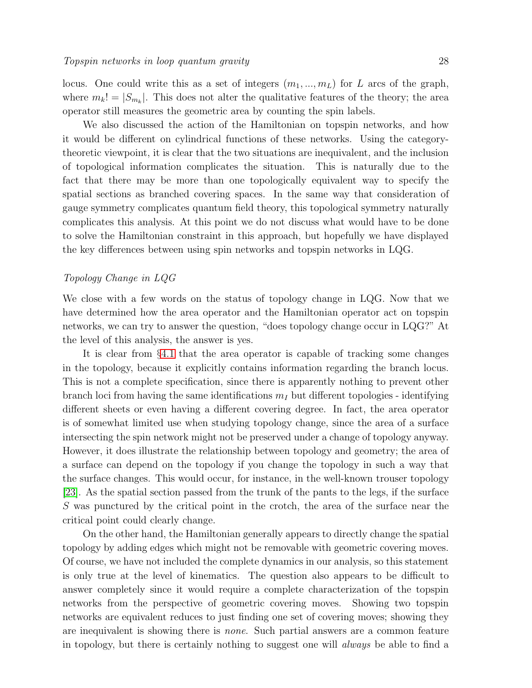locus. One could write this as a set of integers  $(m_1, ..., m_L)$  for L arcs of the graph, where  $m_k! = |S_{m_k}|$ . This does not alter the qualitative features of the theory; the area operator still measures the geometric area by counting the spin labels.

We also discussed the action of the Hamiltonian on topspin networks, and how it would be different on cylindrical functions of these networks. Using the categorytheoretic viewpoint, it is clear that the two situations are inequivalent, and the inclusion of topological information complicates the situation. This is naturally due to the fact that there may be more than one topologically equivalent way to specify the spatial sections as branched covering spaces. In the same way that consideration of gauge symmetry complicates quantum field theory, this topological symmetry naturally complicates this analysis. At this point we do not discuss what would have to be done to solve the Hamiltonian constraint in this approach, but hopefully we have displayed the key differences between using spin networks and topspin networks in LQG.

### Topology Change in LQG

We close with a few words on the status of topology change in LQG. Now that we have determined how the area operator and the Hamiltonian operator act on topspin networks, we can try to answer the question, "does topology change occur in LQG?" At the level of this analysis, the answer is yes.

It is clear from §[4.1](#page-19-2) that the area operator is capable of tracking some changes in the topology, because it explicitly contains information regarding the branch locus. This is not a complete specification, since there is apparently nothing to prevent other branch loci from having the same identifications  $m<sub>I</sub>$  but different topologies - identifying different sheets or even having a different covering degree. In fact, the area operator is of somewhat limited use when studying topology change, since the area of a surface intersecting the spin network might not be preserved under a change of topology anyway. However, it does illustrate the relationship between topology and geometry; the area of a surface can depend on the topology if you change the topology in such a way that the surface changes. This would occur, for instance, in the well-known trouser topology [\[23\]](#page-33-17). As the spatial section passed from the trunk of the pants to the legs, if the surface S was punctured by the critical point in the crotch, the area of the surface near the critical point could clearly change.

On the other hand, the Hamiltonian generally appears to directly change the spatial topology by adding edges which might not be removable with geometric covering moves. Of course, we have not included the complete dynamics in our analysis, so this statement is only true at the level of kinematics. The question also appears to be difficult to answer completely since it would require a complete characterization of the topspin networks from the perspective of geometric covering moves. Showing two topspin networks are equivalent reduces to just finding one set of covering moves; showing they are inequivalent is showing there is none. Such partial answers are a common feature in topology, but there is certainly nothing to suggest one will always be able to find a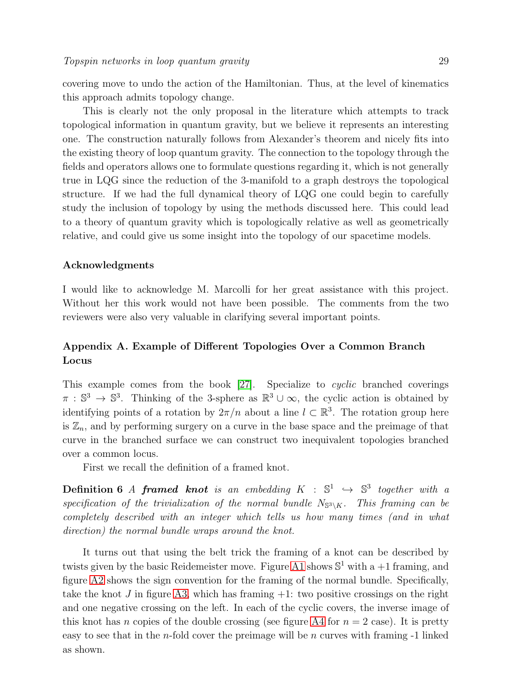covering move to undo the action of the Hamiltonian. Thus, at the level of kinematics this approach admits topology change.

This is clearly not the only proposal in the literature which attempts to track topological information in quantum gravity, but we believe it represents an interesting one. The construction naturally follows from Alexander's theorem and nicely fits into the existing theory of loop quantum gravity. The connection to the topology through the fields and operators allows one to formulate questions regarding it, which is not generally true in LQG since the reduction of the 3-manifold to a graph destroys the topological structure. If we had the full dynamical theory of LQG one could begin to carefully study the inclusion of topology by using the methods discussed here. This could lead to a theory of quantum gravity which is topologically relative as well as geometrically relative, and could give us some insight into the topology of our spacetime models.

#### Acknowledgments

I would like to acknowledge M. Marcolli for her great assistance with this project. Without her this work would not have been possible. The comments from the two reviewers were also very valuable in clarifying several important points.

# <span id="page-29-0"></span>Appendix A. Example of Different Topologies Over a Common Branch Locus

This example comes from the book [\[27\]](#page-33-21). Specialize to cyclic branched coverings  $\pi : \mathbb{S}^3 \to \mathbb{S}^3$ . Thinking of the 3-sphere as  $\mathbb{R}^3 \cup \infty$ , the cyclic action is obtained by identifying points of a rotation by  $2\pi/n$  about a line  $l \subset \mathbb{R}^3$ . The rotation group here is  $\mathbb{Z}_n$ , and by performing surgery on a curve in the base space and the preimage of that curve in the branched surface we can construct two inequivalent topologies branched over a common locus.

First we recall the definition of a framed knot.

**Definition 6** A **framed knot** is an embedding  $K : \mathbb{S}^1 \hookrightarrow \mathbb{S}^3$  together with a specification of the trivialization of the normal bundle  $N_{\mathbb{S}^3\setminus K}$ . This framing can be completely described with an integer which tells us how many times (and in what direction) the normal bundle wraps around the knot.

It turns out that using the belt trick the framing of a knot can be described by twists given by the basic Reidemeister move. Figure [A1](#page-30-0) shows  $\mathbb{S}^1$  with a +1 framing, and figure [A2](#page-30-1) shows the sign convention for the framing of the normal bundle. Specifically, take the knot J in figure [A3,](#page-30-2) which has framing  $+1$ : two positive crossings on the right and one negative crossing on the left. In each of the cyclic covers, the inverse image of this knot has n copies of the double crossing (see figure [A4](#page-30-3) for  $n = 2$  case). It is pretty easy to see that in the *n*-fold cover the preimage will be *n* curves with framing  $-1$  linked as shown.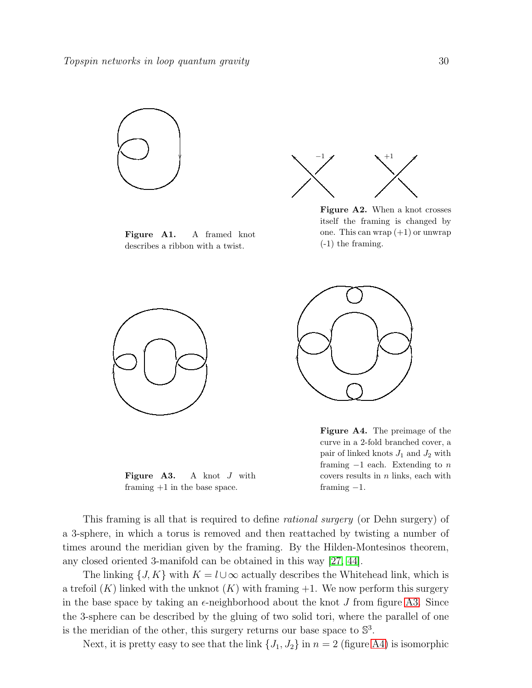

Figure A1. A framed knot describes a ribbon with a twist.

<span id="page-30-2"></span>Figure A3. A knot J with framing +1 in the base space.

<span id="page-30-1"></span>

Figure A2. When a knot crosses itself the framing is changed by one. This can wrap  $(+1)$  or unwrap (-1) the framing.

I

<span id="page-30-0"></span>

<span id="page-30-3"></span>Figure A4. The preimage of the curve in a 2-fold branched cover, a pair of linked knots  $J_1$  and  $J_2$  with framing  $-1$  each. Extending to n covers results in  $n$  links, each with framing  $-1$ .

 $\overline{\phantom{a}}$ 

This framing is all that is required to define *rational surgery* (or Dehn surgery) of a 3-sphere, in which a torus is removed and then reattached by twisting a number of times around the meridian given by the framing. By the Hilden-Montesinos theorem, any closed oriented 3-manifold can be obtained in this way [\[27,](#page-33-21) [44\]](#page-33-38).

The linking  $\{J, K\}$  with  $K = l \cup \infty$  actually describes the Whitehead link, which is a trefoil  $(K)$  linked with the unknot  $(K)$  with framing  $+1$ . We now perform this surgery in the base space by taking an  $\epsilon$ -neighborhood about the knot J from figure [A3.](#page-30-2) Since the 3-sphere can be described by the gluing of two solid tori, where the parallel of one is the meridian of the other, this surgery returns our base space to  $\mathbb{S}^3$ .

Next, it is pretty easy to see that the link  $\{J_1, J_2\}$  in  $n = 2$  (figure [A4\)](#page-30-3) is isomorphic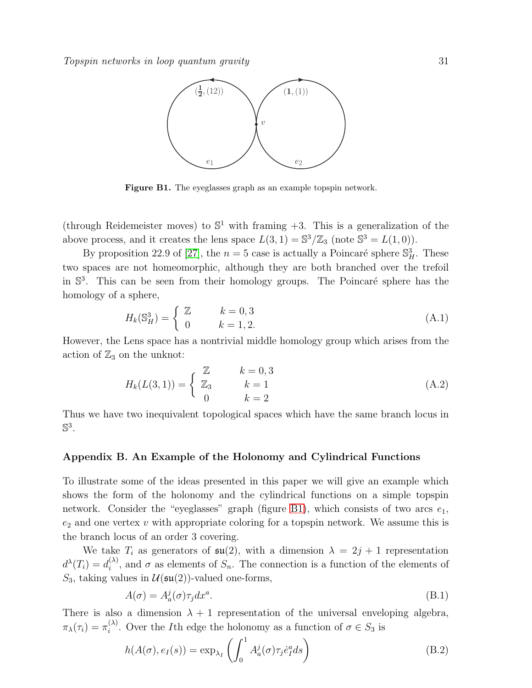

<span id="page-31-1"></span>Figure B1. The eyeglasses graph as an example topspin network.

(through Reidemeister moves) to  $\mathbb{S}^1$  with framing  $+3$ . This is a generalization of the above process, and it creates the lens space  $L(3,1) = \mathbb{S}^3/\mathbb{Z}_3$  (note  $\mathbb{S}^3 = L(1,0)$ ).

By proposition 22.9 of [\[27\]](#page-33-21), the  $n = 5$  case is actually a Poincaré sphere  $\mathbb{S}_{H}^{3}$ . These two spaces are not homeomorphic, although they are both branched over the trefoil in  $\mathbb{S}^3$ . This can be seen from their homology groups. The Poincaré sphere has the homology of a sphere,

$$
H_k(\mathbb{S}_H^3) = \begin{cases} \mathbb{Z} & k = 0,3 \\ 0 & k = 1,2. \end{cases}
$$
 (A.1)

However, the Lens space has a nontrivial middle homology group which arises from the action of  $\mathbb{Z}_3$  on the unknot:

$$
H_k(L(3,1)) = \begin{cases} \mathbb{Z} & k = 0,3 \\ \mathbb{Z}_3 & k = 1 \\ 0 & k = 2 \end{cases}
$$
 (A.2)

Thus we have two inequivalent topological spaces which have the same branch locus in  $\mathbb{S}^3$ .

#### <span id="page-31-0"></span>Appendix B. An Example of the Holonomy and Cylindrical Functions

To illustrate some of the ideas presented in this paper we will give an example which shows the form of the holonomy and the cylindrical functions on a simple topspin network. Consider the "eyeglasses" graph (figure [B1\)](#page-31-1), which consists of two arcs  $e_1$ ,  $e_2$  and one vertex v with appropriate coloring for a topspin network. We assume this is the branch locus of an order 3 covering.

We take  $T_i$  as generators of  $\mathfrak{su}(2)$ , with a dimension  $\lambda = 2j + 1$  representation  $d^{\lambda}(T_i) = d_i^{(\lambda)}$  $i^{(n)}$ , and  $\sigma$  as elements of  $S_n$ . The connection is a function of the elements of  $S_3$ , taking values in  $\mathcal{U}(\mathfrak{su}(2))$ -valued one-forms,

$$
A(\sigma) = A_a^j(\sigma)\tau_j dx^a.
$$
\n(B.1)

There is also a dimension  $\lambda + 1$  representation of the universal enveloping algebra,  $\pi_{\lambda}(\tau_i)=\pi_i^{(\lambda)}$ <sup>( $\lambda$ )</sup>. Over the *I*<sup>th</sup> edge the holonomy as a function of  $\sigma \in S_3$  is

$$
h(A(\sigma), e_I(s)) = \exp_{\lambda_I} \left( \int_0^1 A_a^j(\sigma) \tau_j \dot{e}_I^a ds \right)
$$
 (B.2)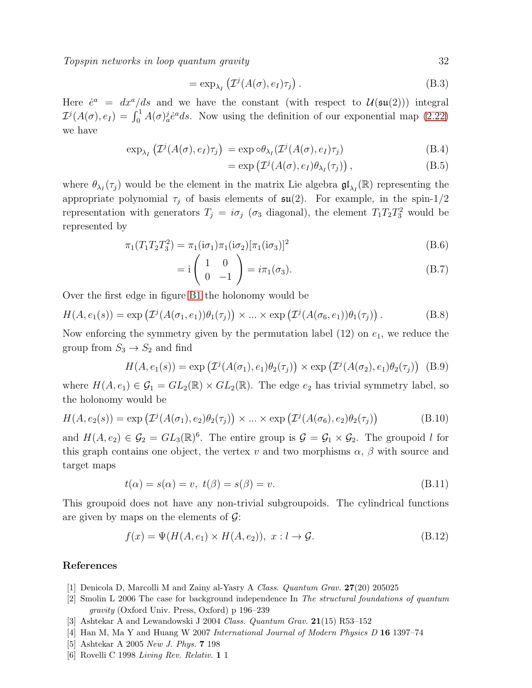Topspin networks in loop quantum gravity 32

$$
= \exp_{\lambda_I} \left( \mathcal{I}^j(A(\sigma), e_I) \tau_j \right). \tag{B.3}
$$

Here  $\dot{e}^a = dx^a/ds$  and we have the constant (with respect to  $\mathcal{U}(\mathfrak{su}(2))$ ) integral  $\mathcal{I}^j(A(\sigma), e_I) = \int_0^1 A(\sigma) \dot{a} \dot{e}^a ds$ . Now using the definition of our exponential map [\(2.22\)](#page-12-1) we have

$$
\exp_{\lambda_I} (\mathcal{I}^j(A(\sigma), e_I)\tau_j) = \exp \circ \theta_{\lambda_I} (\mathcal{I}^j(A(\sigma), e_I)\tau_j)
$$
\n(B.4)

$$
= \exp\left(\mathcal{I}^{j}(A(\sigma), e_{I})\theta_{\lambda_{I}}(\tau_{j})\right), \tag{B.5}
$$

where  $\theta_{\lambda_I}(\tau_j)$  would be the element in the matrix Lie algebra  $\mathfrak{gl}_{\lambda_I}(\mathbb{R})$  representing the appropriate polynomial  $\tau_j$  of basis elements of  $\mathfrak{su}(2)$ . For example, in the spin-1/2 representation with generators  $T_j = i\sigma_j$  ( $\sigma_3$  diagonal), the element  $T_1T_2T_3^2$  would be represented by

$$
\pi_1(T_1 T_2 T_3^2) = \pi_1(i\sigma_1)\pi_1(i\sigma_2)[\pi_1(i\sigma_3)]^2
$$
\n(B.6)

$$
=i\left(\begin{array}{cc}1 & 0\\0 & -1\end{array}\right)=i\pi_1(\sigma_3).
$$
 (B.7)

Over the first edge in figure [B1](#page-31-1) the holonomy would be

$$
H(A, e_1(s)) = \exp\left(\mathcal{I}^j(A(\sigma_1, e_1))\theta_1(\tau_j)\right) \times \dots \times \exp\left(\mathcal{I}^j(A(\sigma_6, e_1))\theta_1(\tau_j)\right).
$$
 (B.8)

Now enforcing the symmetry given by the permutation label  $(12)$  on  $e_1$ , we reduce the group from  $S_3 \to S_2$  and find

$$
H(A, e_1(s)) = \exp\left(\mathcal{I}^j(A(\sigma_1), e_1)\theta_2(\tau_j)\right) \times \exp\left(\mathcal{I}^j(A(\sigma_2), e_1)\theta_2(\tau_j)\right)
$$
 (B.9)

where  $H(A, e_1) \in \mathcal{G}_1 = GL_2(\mathbb{R}) \times GL_2(\mathbb{R})$ . The edge  $e_2$  has trivial symmetry label, so the holonomy would be

$$
H(A, e_2(s)) = \exp\left(\mathcal{I}^j(A(\sigma_1), e_2)\theta_2(\tau_j)\right) \times \dots \times \exp\left(\mathcal{I}^j(A(\sigma_6), e_2)\theta_2(\tau_j)\right) \tag{B.10}
$$

and  $H(A, e_2) \in \mathcal{G}_2 = GL_3(\mathbb{R})^6$ . The entire group is  $\mathcal{G} = \mathcal{G}_1 \times \mathcal{G}_2$ . The groupoid l for this graph contains one object, the vertex v and two morphisms  $\alpha$ ,  $\beta$  with source and target maps

$$
t(\alpha) = s(\alpha) = v, \ t(\beta) = s(\beta) = v.
$$
\n(B.11)

This groupoid does not have any non-trivial subgroupoids. The cylindrical functions are given by maps on the elements of  $\mathcal{G}$ :

$$
f(x) = \Psi(H(A, e_1) \times H(A, e_2)), \quad x: l \to \mathcal{G}.
$$
 (B.12)

### <span id="page-32-0"></span>References

- <span id="page-32-1"></span>[1] Denicola D, Marcolli M and Zainy al-Yasry A *Class. Quantum Grav.* 27(20) 205025
- [2] Smolin L 2006 The case for background independence In *The structural foundations of quantum gravity* (Oxford Univ. Press, Oxford) p 196–239
- <span id="page-32-3"></span><span id="page-32-2"></span>[3] Ashtekar A and Lewandowski J 2004 *Class. Quantum Grav.* 21(15) R53–152
- <span id="page-32-4"></span>[4] Han M, Ma Y and Huang W 2007 *International Journal of Modern Physics D* 16 1397–74
- <span id="page-32-5"></span>[5] Ashtekar A 2005 *New J. Phys.* 7 198
- [6] Rovelli C 1998 *Living Rev. Relativ.* 1 1